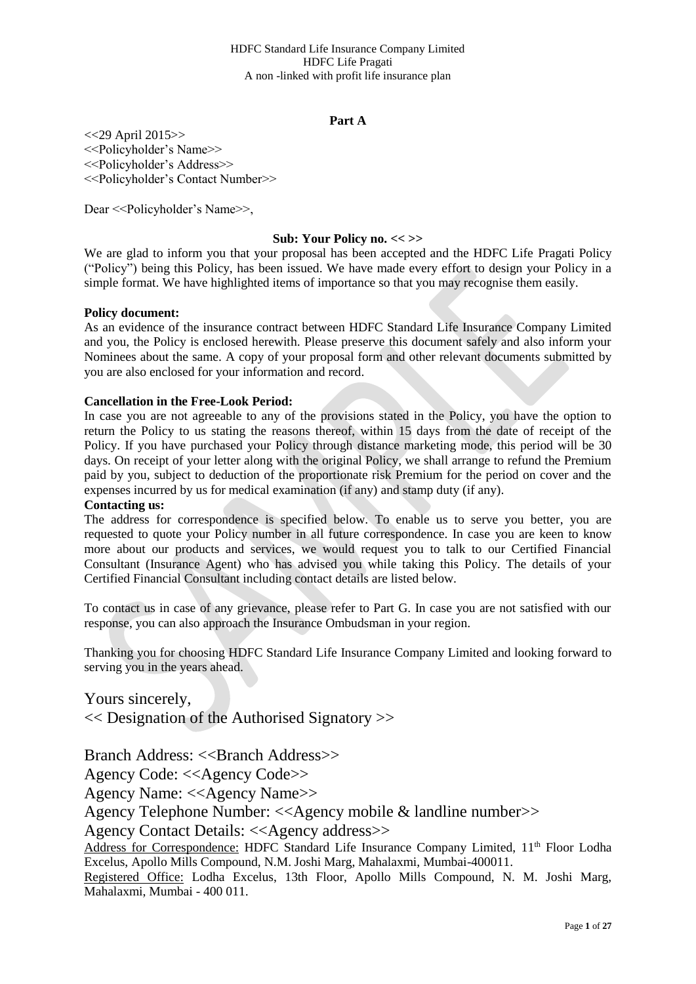### **Part A**

<<29 April 2015>> <<Policyholder's Name>> <<Policyholder's Address>> <<Policyholder's Contact Number>>

Dear << Policyholder's Name>>,

### **Sub: Your Policy no. << >>**

We are glad to inform you that your proposal has been accepted and the HDFC Life Pragati Policy ("Policy") being this Policy, has been issued. We have made every effort to design your Policy in a simple format. We have highlighted items of importance so that you may recognise them easily.

#### **Policy document:**

As an evidence of the insurance contract between HDFC Standard Life Insurance Company Limited and you, the Policy is enclosed herewith. Please preserve this document safely and also inform your Nominees about the same. A copy of your proposal form and other relevant documents submitted by you are also enclosed for your information and record.

### **Cancellation in the Free-Look Period:**

In case you are not agreeable to any of the provisions stated in the Policy, you have the option to return the Policy to us stating the reasons thereof, within 15 days from the date of receipt of the Policy. If you have purchased your Policy through distance marketing mode, this period will be 30 days. On receipt of your letter along with the original Policy, we shall arrange to refund the Premium paid by you, subject to deduction of the proportionate risk Premium for the period on cover and the expenses incurred by us for medical examination (if any) and stamp duty (if any).

### **Contacting us:**

The address for correspondence is specified below. To enable us to serve you better, you are requested to quote your Policy number in all future correspondence. In case you are keen to know more about our products and services, we would request you to talk to our Certified Financial Consultant (Insurance Agent) who has advised you while taking this Policy. The details of your Certified Financial Consultant including contact details are listed below.

To contact us in case of any grievance, please refer to Part G. In case you are not satisfied with our response, you can also approach the Insurance Ombudsman in your region.

Thanking you for choosing HDFC Standard Life Insurance Company Limited and looking forward to serving you in the years ahead.

Yours sincerely, << Designation of the Authorised Signatory >>

Branch Address: <<Branch Address>>

Agency Code: <<Agency Code>>

Agency Name: <<Agency Name>>

Agency Telephone Number: <<Agency mobile & landline number>>

Agency Contact Details: <<Agency address>>

Address for Correspondence: HDFC Standard Life Insurance Company Limited, 11<sup>th</sup> Floor Lodha Excelus, Apollo Mills Compound, N.M. Joshi Marg, Mahalaxmi, Mumbai-400011.

Registered Office: Lodha Excelus, 13th Floor, Apollo Mills Compound, N. M. Joshi Marg, Mahalaxmi, Mumbai - 400 011.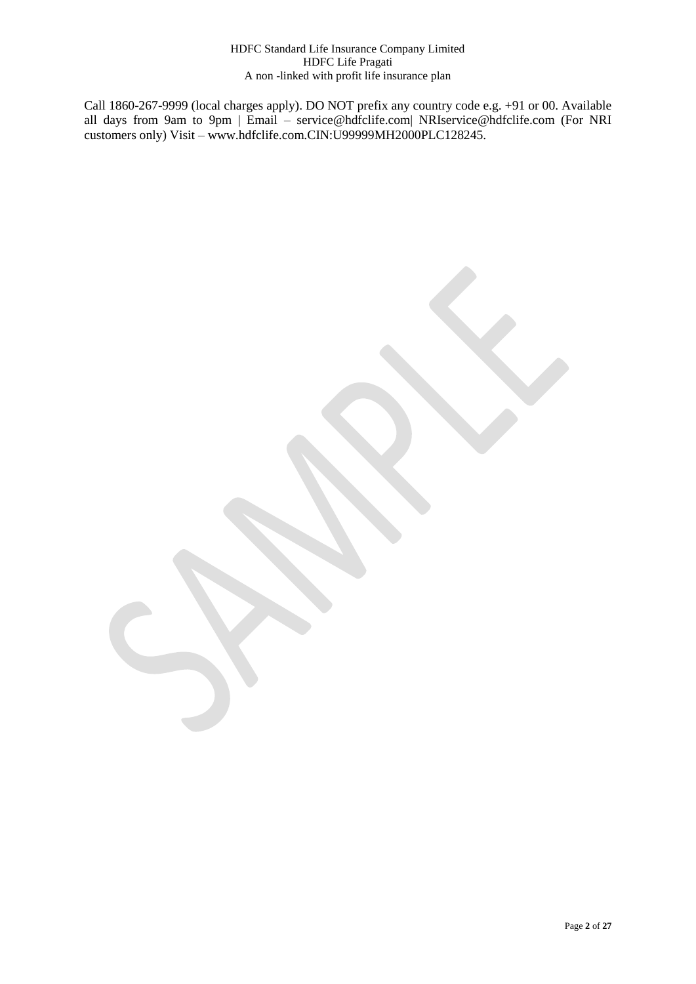Call 1860-267-9999 (local charges apply). DO NOT prefix any country code e.g. +91 or 00. Available all days from 9am to 9pm | Email – service@hdfclife.com| NRIservice@hdfclife.com (For NRI customers only) Visit – www.hdfclife.com.CIN:U99999MH2000PLC128245.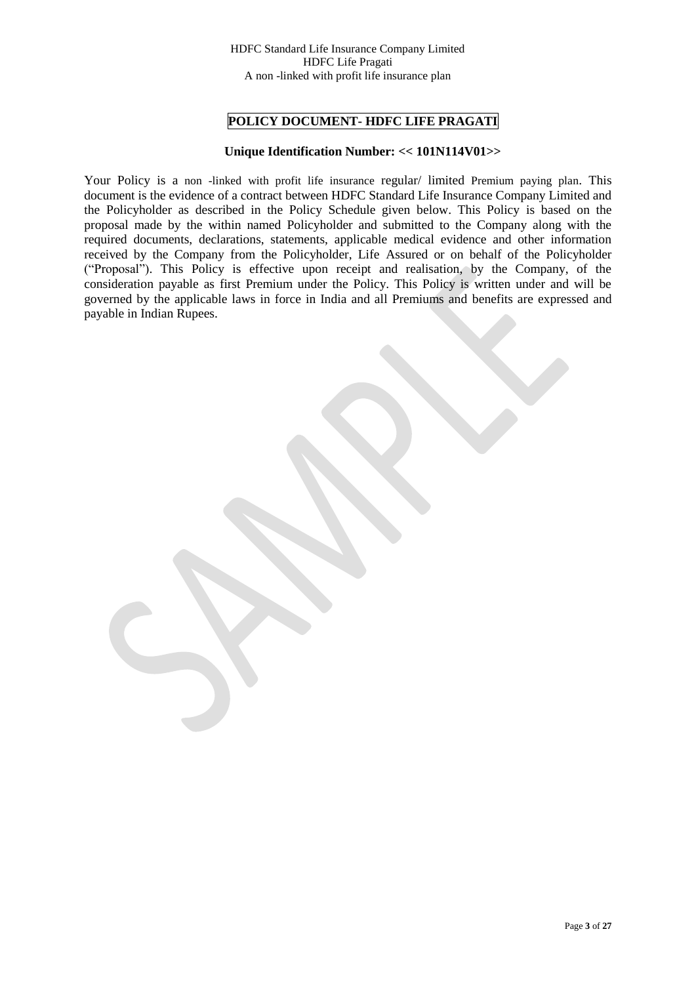# **POLICY DOCUMENT- HDFC LIFE PRAGATI**

# **Unique Identification Number: << 101N114V01>>**

Your Policy is a non -linked with profit life insurance regular/ limited Premium paying plan. This document is the evidence of a contract between HDFC Standard Life Insurance Company Limited and the Policyholder as described in the Policy Schedule given below. This Policy is based on the proposal made by the within named Policyholder and submitted to the Company along with the required documents, declarations, statements, applicable medical evidence and other information received by the Company from the Policyholder, Life Assured or on behalf of the Policyholder ("Proposal"). This Policy is effective upon receipt and realisation, by the Company, of the consideration payable as first Premium under the Policy. This Policy is written under and will be governed by the applicable laws in force in India and all Premiums and benefits are expressed and payable in Indian Rupees.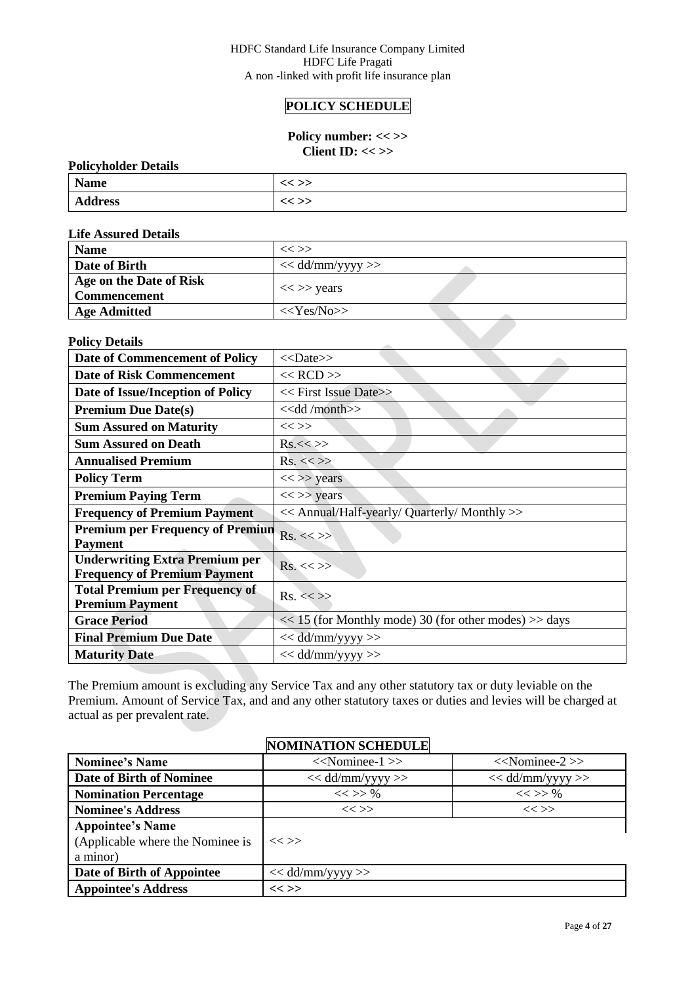# **POLICY SCHEDULE**

# Policy number: << >> **Client ID: << >>**

# **Policyholder Details**

| <b>Name</b>    | ペー |
|----------------|----|
| <b>Address</b> |    |

#### **Life Assured Details**

| <b>Name</b>                                    | $<<$ $>>$          |
|------------------------------------------------|--------------------|
| Date of Birth                                  | $<<$ dd/mm/yyyy >> |
| Age on the Date of Risk<br><b>Commencement</b> | $<<$ >> years      |
| <b>Age Admitted</b>                            | $<<\text{Yes/No}$  |
| <b>Policy Details</b>                          |                    |

# **Policy Details**

| <b>Date of Commencement of Policy</b>                                        | $<<$ Date>>                                               |
|------------------------------------------------------------------------------|-----------------------------------------------------------|
| <b>Date of Risk Commencement</b>                                             | $<<$ RCD $>>$                                             |
| Date of Issue/Inception of Policy                                            | $<<$ First Issue Date>>                                   |
| <b>Premium Due Date(s)</b>                                                   | $<<$ dd/month $>>$                                        |
| <b>Sum Assured on Maturity</b>                                               | $<<$ >>                                                   |
| <b>Sum Assured on Death</b>                                                  | Rs.<>>                                                    |
| <b>Annualised Premium</b>                                                    | $Rs. \ll>>$                                               |
| <b>Policy Term</b>                                                           | $<<$ >> years                                             |
| <b>Premium Paying Term</b>                                                   | $<<$ >> years                                             |
| <b>Frequency of Premium Payment</b>                                          | << Annual/Half-yearly/ Quarterly/ Monthly >>              |
| <b>Premium per Frequency of Premiun</b><br><b>Payment</b>                    | $Rs. \ll>>$                                               |
| <b>Underwriting Extra Premium per</b><br><b>Frequency of Premium Payment</b> | $Rs. \ll>>$                                               |
| <b>Total Premium per Frequency of</b><br><b>Premium Payment</b>              | $Rs. \ll>>$                                               |
| <b>Grace Period</b>                                                          | $<< 15$ (for Monthly mode) 30 (for other modes) $>>$ days |
| <b>Final Premium Due Date</b>                                                | $<<$ dd/mm/yyyy >>                                        |
| <b>Maturity Date</b>                                                         | $<<$ dd/mm/yyyy >>                                        |

The Premium amount is excluding any Service Tax and any other statutory tax or duty leviable on the Premium. Amount of Service Tax, and and any other statutory taxes or duties and levies will be charged at actual as per prevalent rate.

|                                                                         | <b>NOMINATION SCHEDULE</b> |                     |
|-------------------------------------------------------------------------|----------------------------|---------------------|
| <b>Nominee's Name</b>                                                   | $<<$ Nominee-1 $>>$        | $<<$ Nominee-2 $>>$ |
| <b>Date of Birth of Nominee</b>                                         | $<<$ dd/mm/yyyy >>         | $<<$ dd/mm/yyyy >>  |
| <b>Nomination Percentage</b>                                            | $<<$ >> %                  | $<<$ >> %           |
| <b>Nominee's Address</b>                                                | $<<$ >>                    | $<<$ $>>$           |
| <b>Appointee's Name</b><br>(Applicable where the Nominee is<br>a minor) | $<<$ >>                    |                     |
| Date of Birth of Appointee                                              | $<<$ dd/mm/yyyy $>>$       |                     |
| <b>Appointee's Address</b>                                              | << >>                      |                     |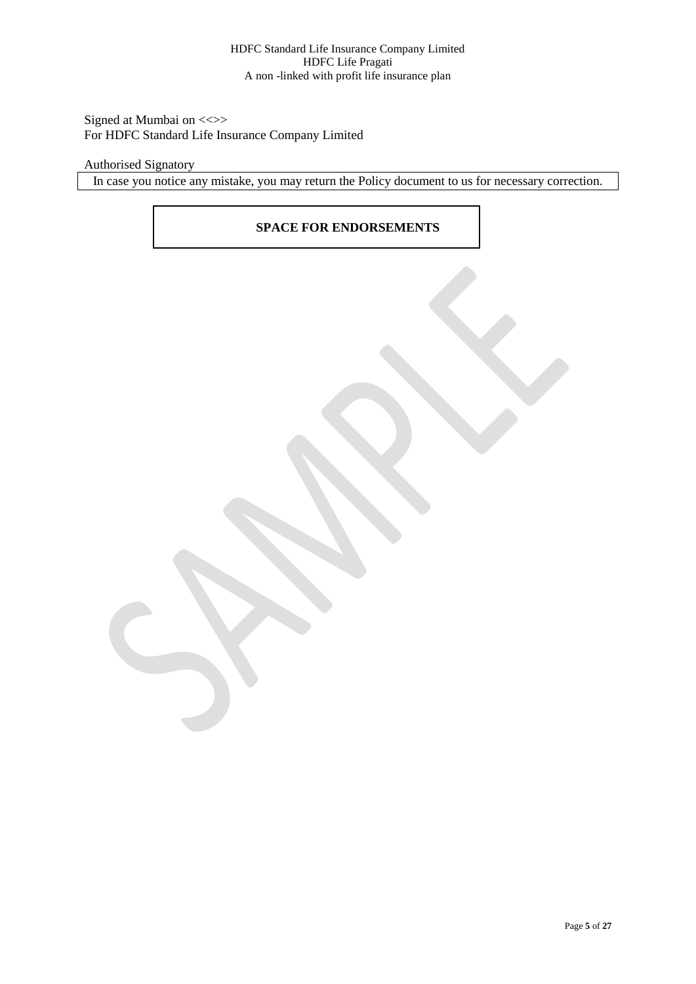# Signed at Mumbai on <<>> For HDFC Standard Life Insurance Company Limited

# Authorised Signatory

In case you notice any mistake, you may return the Policy document to us for necessary correction.

# **SPACE FOR ENDORSEMENTS**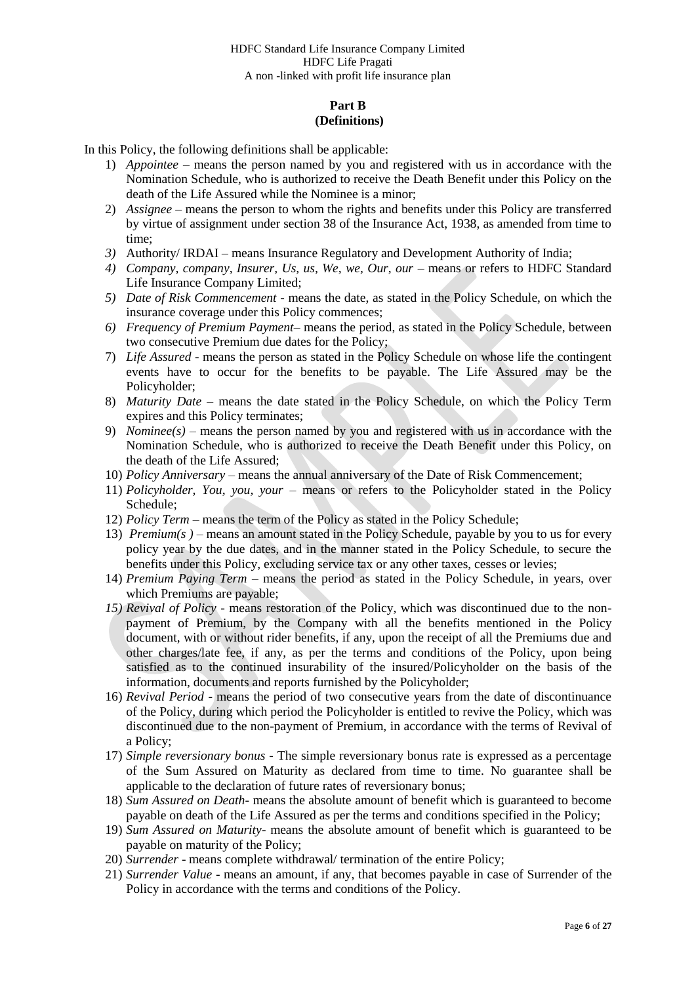# **Part B (Definitions)**

In this Policy, the following definitions shall be applicable:

- 1) *Appointee –* means the person named by you and registered with us in accordance with the Nomination Schedule, who is authorized to receive the Death Benefit under this Policy on the death of the Life Assured while the Nominee is a minor;
- 2) *Assignee*  means the person to whom the rights and benefits under this Policy are transferred by virtue of assignment under section 38 of the Insurance Act, 1938, as amended from time to time;
- *3)* Authority/ IRDAI means Insurance Regulatory and Development Authority of India;
- 4) *Company, company, Insurer, Us, us, We, we, Our, our means or refers to HDFC Standard* Life Insurance Company Limited;
- *5) Date of Risk Commencement -* means the date, as stated in the Policy Schedule, on which the insurance coverage under this Policy commences;
- *6) Frequency of Premium Payment* means the period, as stated in the Policy Schedule, between two consecutive Premium due dates for the Policy;
- 7) *Life Assured* means the person as stated in the Policy Schedule on whose life the contingent events have to occur for the benefits to be payable. The Life Assured may be the Policyholder;
- 8) *Maturity Date* means the date stated in the Policy Schedule, on which the Policy Term expires and this Policy terminates;
- 9) *Nominee(s)* means the person named by you and registered with us in accordance with the Nomination Schedule, who is authorized to receive the Death Benefit under this Policy, on the death of the Life Assured;
- 10) *Policy Anniversary*  means the annual anniversary of the Date of Risk Commencement;
- 11) *Policyholder, You, you, your* means or refers to the Policyholder stated in the Policy Schedule;
- 12) *Policy Term –* means the term of the Policy as stated in the Policy Schedule;
- 13) *Premium(s )* means an amount stated in the Policy Schedule, payable by you to us for every policy year by the due dates, and in the manner stated in the Policy Schedule, to secure the benefits under this Policy, excluding service tax or any other taxes, cesses or levies;
- 14) *Premium Paying Term –* means the period as stated in the Policy Schedule, in years, over which Premiums are payable;
- *15) Revival of Policy* means restoration of the Policy, which was discontinued due to the nonpayment of Premium, by the Company with all the benefits mentioned in the Policy document, with or without rider benefits, if any, upon the receipt of all the Premiums due and other charges/late fee, if any, as per the terms and conditions of the Policy, upon being satisfied as to the continued insurability of the insured/Policyholder on the basis of the information, documents and reports furnished by the Policyholder;
- 16) *Revival Period*  means the period of two consecutive years from the date of discontinuance of the Policy, during which period the Policyholder is entitled to revive the Policy, which was discontinued due to the non-payment of Premium, in accordance with the terms of Revival of a Policy;
- 17) *Simple reversionary bonus -* The simple reversionary bonus rate is expressed as a percentage of the Sum Assured on Maturity as declared from time to time. No guarantee shall be applicable to the declaration of future rates of reversionary bonus;
- 18) *Sum Assured on Death* means the absolute amount of benefit which is guaranteed to become payable on death of the Life Assured as per the terms and conditions specified in the Policy;
- 19) *Sum Assured on Maturity* means the absolute amount of benefit which is guaranteed to be payable on maturity of the Policy;
- 20) *Surrender* means complete withdrawal/ termination of the entire Policy;
- 21) *Surrender Value* means an amount, if any, that becomes payable in case of Surrender of the Policy in accordance with the terms and conditions of the Policy.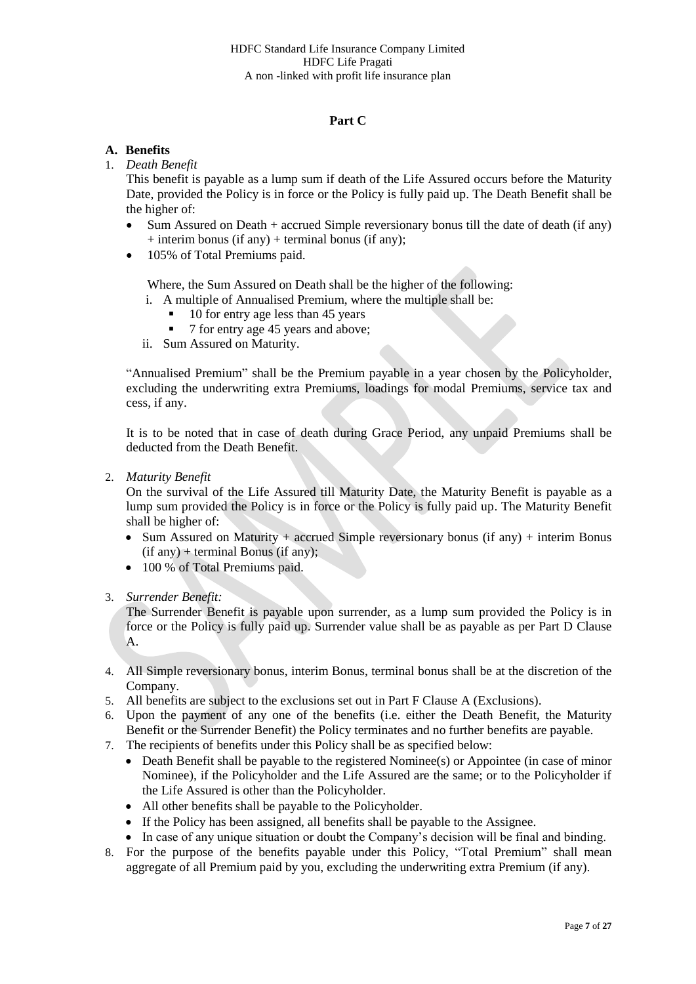# **Part C**

# **A. Benefits**

# 1. *Death Benefit*

This benefit is payable as a lump sum if death of the Life Assured occurs before the Maturity Date, provided the Policy is in force or the Policy is fully paid up. The Death Benefit shall be the higher of:

- $\bullet$  Sum Assured on Death + accrued Simple reversionary bonus till the date of death (if any)  $+$  interim bonus (if any)  $+$  terminal bonus (if any);
- 105% of Total Premiums paid.

Where, the Sum Assured on Death shall be the higher of the following:

- i. A multiple of Annualised Premium, where the multiple shall be:
	- 10 for entry age less than 45 years
	- 7 for entry age 45 years and above;
- ii. Sum Assured on Maturity.

"Annualised Premium" shall be the Premium payable in a year chosen by the Policyholder, excluding the underwriting extra Premiums, loadings for modal Premiums, service tax and cess, if any.

It is to be noted that in case of death during Grace Period, any unpaid Premiums shall be deducted from the Death Benefit.

2. *Maturity Benefit*

On the survival of the Life Assured till Maturity Date, the Maturity Benefit is payable as a lump sum provided the Policy is in force or the Policy is fully paid up. The Maturity Benefit shall be higher of:

- Sum Assured on Maturity + accrued Simple reversionary bonus (if any) + interim Bonus (if any) + terminal Bonus (if any);
- 100 % of Total Premiums paid.
- 3. *Surrender Benefit:*

The Surrender Benefit is payable upon surrender, as a lump sum provided the Policy is in force or the Policy is fully paid up. Surrender value shall be as payable as per Part D Clause A.

- 4. All Simple reversionary bonus, interim Bonus, terminal bonus shall be at the discretion of the Company.
- 5. All benefits are subject to the exclusions set out in Part F Clause A (Exclusions).
- 6. Upon the payment of any one of the benefits (i.e. either the Death Benefit, the Maturity Benefit or the Surrender Benefit) the Policy terminates and no further benefits are payable.
- 7. The recipients of benefits under this Policy shall be as specified below:
	- Death Benefit shall be payable to the registered Nominee(s) or Appointee (in case of minor Nominee), if the Policyholder and the Life Assured are the same; or to the Policyholder if the Life Assured is other than the Policyholder.
	- All other benefits shall be payable to the Policyholder.
	- If the Policy has been assigned, all benefits shall be payable to the Assignee.
- In case of any unique situation or doubt the Company's decision will be final and binding. 8. For the purpose of the benefits payable under this Policy, "Total Premium" shall mean
- aggregate of all Premium paid by you, excluding the underwriting extra Premium (if any).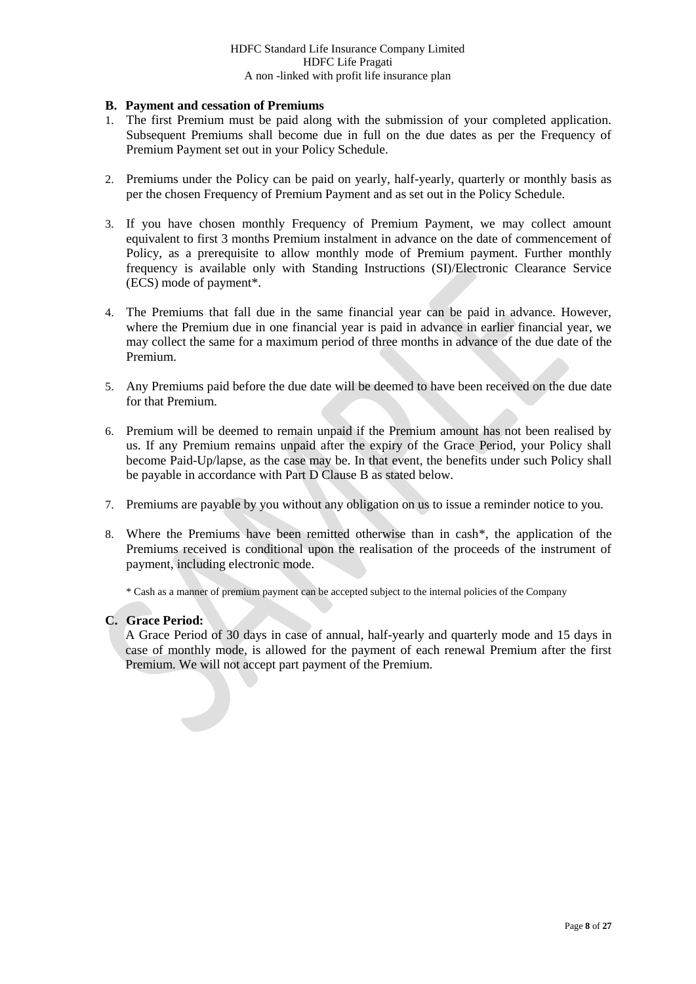### **B. Payment and cessation of Premiums**

- 1. The first Premium must be paid along with the submission of your completed application. Subsequent Premiums shall become due in full on the due dates as per the Frequency of Premium Payment set out in your Policy Schedule.
- 2. Premiums under the Policy can be paid on yearly, half-yearly, quarterly or monthly basis as per the chosen Frequency of Premium Payment and as set out in the Policy Schedule.
- 3. If you have chosen monthly Frequency of Premium Payment, we may collect amount equivalent to first 3 months Premium instalment in advance on the date of commencement of Policy, as a prerequisite to allow monthly mode of Premium payment. Further monthly frequency is available only with Standing Instructions (SI)/Electronic Clearance Service (ECS) mode of payment\*.
- 4. The Premiums that fall due in the same financial year can be paid in advance. However, where the Premium due in one financial year is paid in advance in earlier financial year, we may collect the same for a maximum period of three months in advance of the due date of the Premium.
- 5. Any Premiums paid before the due date will be deemed to have been received on the due date for that Premium.
- 6. Premium will be deemed to remain unpaid if the Premium amount has not been realised by us. If any Premium remains unpaid after the expiry of the Grace Period, your Policy shall become Paid-Up/lapse, as the case may be. In that event, the benefits under such Policy shall be payable in accordance with Part D Clause B as stated below.
- 7. Premiums are payable by you without any obligation on us to issue a reminder notice to you.
- 8. Where the Premiums have been remitted otherwise than in cash\*, the application of the Premiums received is conditional upon the realisation of the proceeds of the instrument of payment, including electronic mode.

\* Cash as a manner of premium payment can be accepted subject to the internal policies of the Company

### **C. Grace Period:**

A Grace Period of 30 days in case of annual, half-yearly and quarterly mode and 15 days in case of monthly mode, is allowed for the payment of each renewal Premium after the first Premium. We will not accept part payment of the Premium.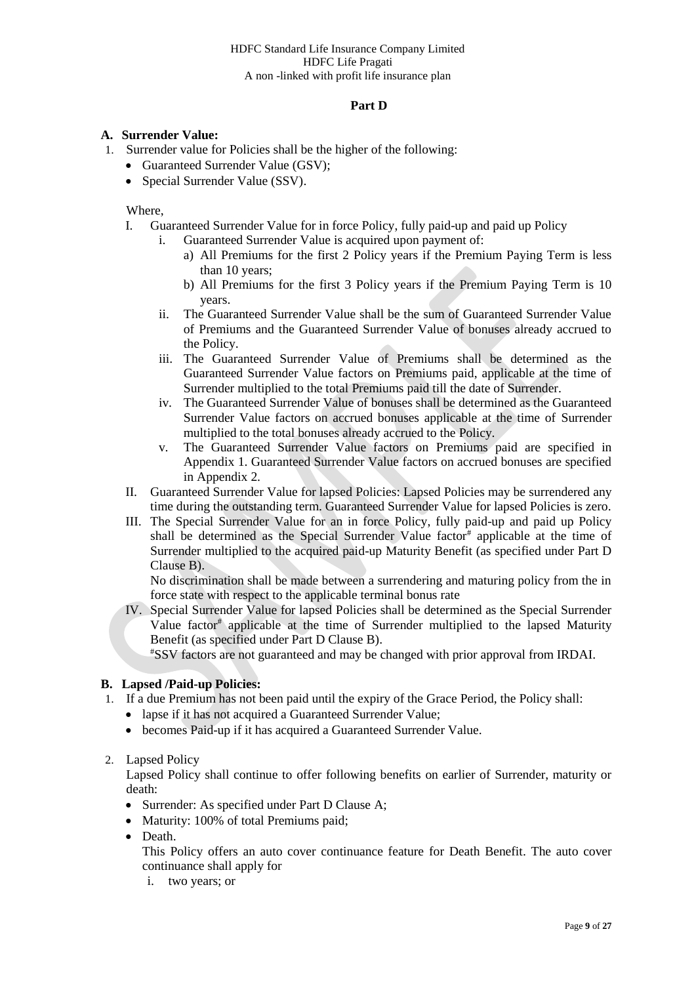# **Part D**

# **A. Surrender Value:**

- 1. Surrender value for Policies shall be the higher of the following:
	- Guaranteed Surrender Value (GSV);
	- Special Surrender Value (SSV).

Where,

- I. Guaranteed Surrender Value for in force Policy, fully paid-up and paid up Policy
	- i. Guaranteed Surrender Value is acquired upon payment of:
		- a) All Premiums for the first 2 Policy years if the Premium Paying Term is less than 10 years;
		- b) All Premiums for the first 3 Policy years if the Premium Paying Term is 10 years.
	- ii. The Guaranteed Surrender Value shall be the sum of Guaranteed Surrender Value of Premiums and the Guaranteed Surrender Value of bonuses already accrued to the Policy.
	- iii. The Guaranteed Surrender Value of Premiums shall be determined as the Guaranteed Surrender Value factors on Premiums paid, applicable at the time of Surrender multiplied to the total Premiums paid till the date of Surrender.
	- iv. The Guaranteed Surrender Value of bonuses shall be determined as the Guaranteed Surrender Value factors on accrued bonuses applicable at the time of Surrender multiplied to the total bonuses already accrued to the Policy.
	- v. The Guaranteed Surrender Value factors on Premiums paid are specified in Appendix 1. Guaranteed Surrender Value factors on accrued bonuses are specified in Appendix 2.
- II. Guaranteed Surrender Value for lapsed Policies: Lapsed Policies may be surrendered any time during the outstanding term. Guaranteed Surrender Value for lapsed Policies is zero.
- III. The Special Surrender Value for an in force Policy, fully paid-up and paid up Policy shall be determined as the Special Surrender Value factor<sup>#</sup> applicable at the time of Surrender multiplied to the acquired paid-up Maturity Benefit (as specified under Part D Clause B).

No discrimination shall be made between a surrendering and maturing policy from the in force state with respect to the applicable terminal bonus rate

IV. Special Surrender Value for lapsed Policies shall be determined as the Special Surrender Value factor<sup>#</sup> applicable at the time of Surrender multiplied to the lapsed Maturity Benefit (as specified under Part D Clause B).

#SSV factors are not guaranteed and may be changed with prior approval from IRDAI.

# **B. Lapsed /Paid-up Policies:**

- 1. If a due Premium has not been paid until the expiry of the Grace Period, the Policy shall:
	- lapse if it has not acquired a Guaranteed Surrender Value;
	- becomes Paid-up if it has acquired a Guaranteed Surrender Value.
- 2. Lapsed Policy

Lapsed Policy shall continue to offer following benefits on earlier of Surrender, maturity or death:

- Surrender: As specified under Part D Clause A;
- Maturity: 100% of total Premiums paid;
- Death.

This Policy offers an auto cover continuance feature for Death Benefit. The auto cover continuance shall apply for

i. two years; or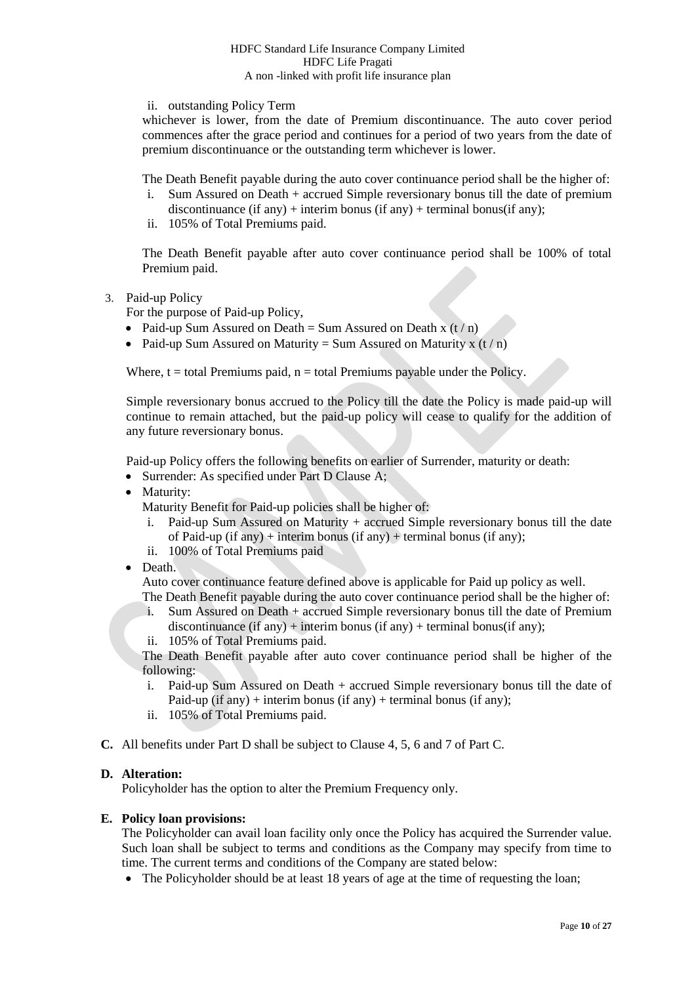ii. outstanding Policy Term

whichever is lower, from the date of Premium discontinuance. The auto cover period commences after the grace period and continues for a period of two years from the date of premium discontinuance or the outstanding term whichever is lower.

The Death Benefit payable during the auto cover continuance period shall be the higher of:

- i. Sum Assured on Death + accrued Simple reversionary bonus till the date of premium discontinuance (if any) + interim bonus (if any) + terminal bonus (if any);
- ii. 105% of Total Premiums paid.

The Death Benefit payable after auto cover continuance period shall be 100% of total Premium paid.

3. Paid-up Policy

For the purpose of Paid-up Policy,

- Paid-up Sum Assured on Death = Sum Assured on Death x  $(t/n)$
- Paid-up Sum Assured on Maturity = Sum Assured on Maturity x  $(t/n)$

Where,  $t =$  total Premiums paid,  $n =$  total Premiums payable under the Policy.

Simple reversionary bonus accrued to the Policy till the date the Policy is made paid-up will continue to remain attached, but the paid-up policy will cease to qualify for the addition of any future reversionary bonus.

Paid-up Policy offers the following benefits on earlier of Surrender, maturity or death:

- Surrender: As specified under Part D Clause A;
- Maturity:
	- Maturity Benefit for Paid-up policies shall be higher of:
	- i. Paid-up Sum Assured on Maturity + accrued Simple reversionary bonus till the date of Paid-up (if any) + interim bonus (if any) + terminal bonus (if any);
	- ii. 100% of Total Premiums paid
- Death.

Auto cover continuance feature defined above is applicable for Paid up policy as well. The Death Benefit payable during the auto cover continuance period shall be the higher of:

- i. Sum Assured on Death + accrued Simple reversionary bonus till the date of Premium discontinuance (if any) + interim bonus (if any) + terminal bonus(if any);
- ii. 105% of Total Premiums paid.

The Death Benefit payable after auto cover continuance period shall be higher of the following:

- i. Paid-up Sum Assured on Death + accrued Simple reversionary bonus till the date of Paid-up (if any) + interim bonus (if any) + terminal bonus (if any);
- ii. 105% of Total Premiums paid.
- **C.** All benefits under Part D shall be subject to Clause 4, 5, 6 and 7 of Part C.

### **D. Alteration:**

Policyholder has the option to alter the Premium Frequency only.

### **E. Policy loan provisions:**

The Policyholder can avail loan facility only once the Policy has acquired the Surrender value. Such loan shall be subject to terms and conditions as the Company may specify from time to time. The current terms and conditions of the Company are stated below:

• The Policyholder should be at least 18 years of age at the time of requesting the loan;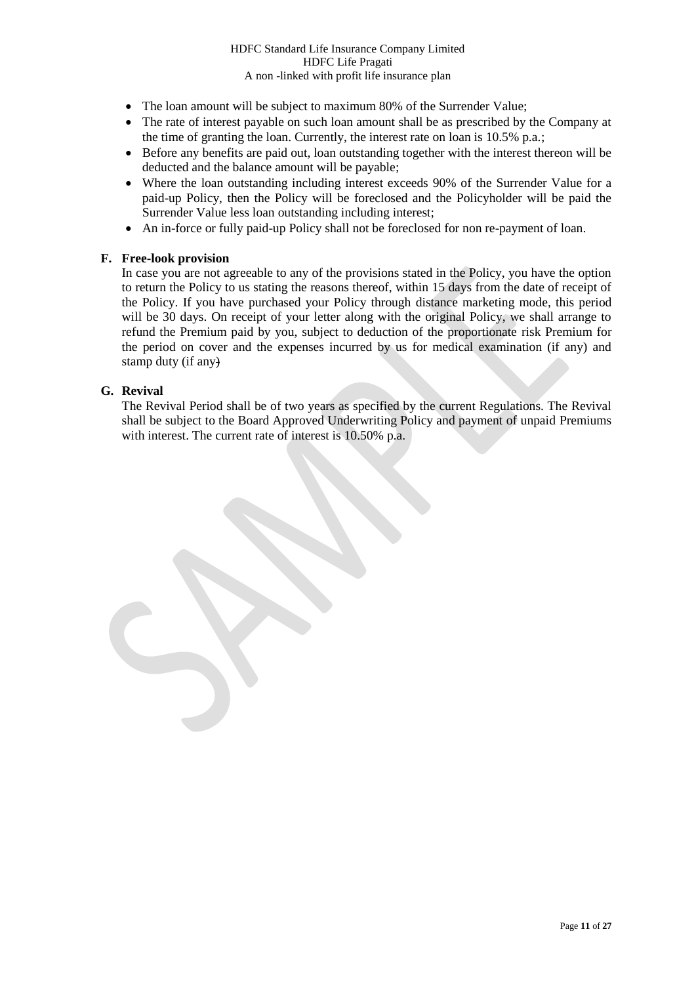- The loan amount will be subject to maximum 80% of the Surrender Value;
- The rate of interest payable on such loan amount shall be as prescribed by the Company at the time of granting the loan. Currently, the interest rate on loan is 10.5% p.a.;
- Before any benefits are paid out, loan outstanding together with the interest thereon will be deducted and the balance amount will be payable;
- Where the loan outstanding including interest exceeds 90% of the Surrender Value for a paid-up Policy, then the Policy will be foreclosed and the Policyholder will be paid the Surrender Value less loan outstanding including interest;
- An in-force or fully paid-up Policy shall not be foreclosed for non re-payment of loan.

# **F. Free-look provision**

In case you are not agreeable to any of the provisions stated in the Policy, you have the option to return the Policy to us stating the reasons thereof, within 15 days from the date of receipt of the Policy. If you have purchased your Policy through distance marketing mode, this period will be 30 days. On receipt of your letter along with the original Policy, we shall arrange to refund the Premium paid by you, subject to deduction of the proportionate risk Premium for the period on cover and the expenses incurred by us for medical examination (if any) and stamp duty (if any)

# **G. Revival**

The Revival Period shall be of two years as specified by the current Regulations. The Revival shall be subject to the Board Approved Underwriting Policy and payment of unpaid Premiums with interest. The current rate of interest is 10.50% p.a.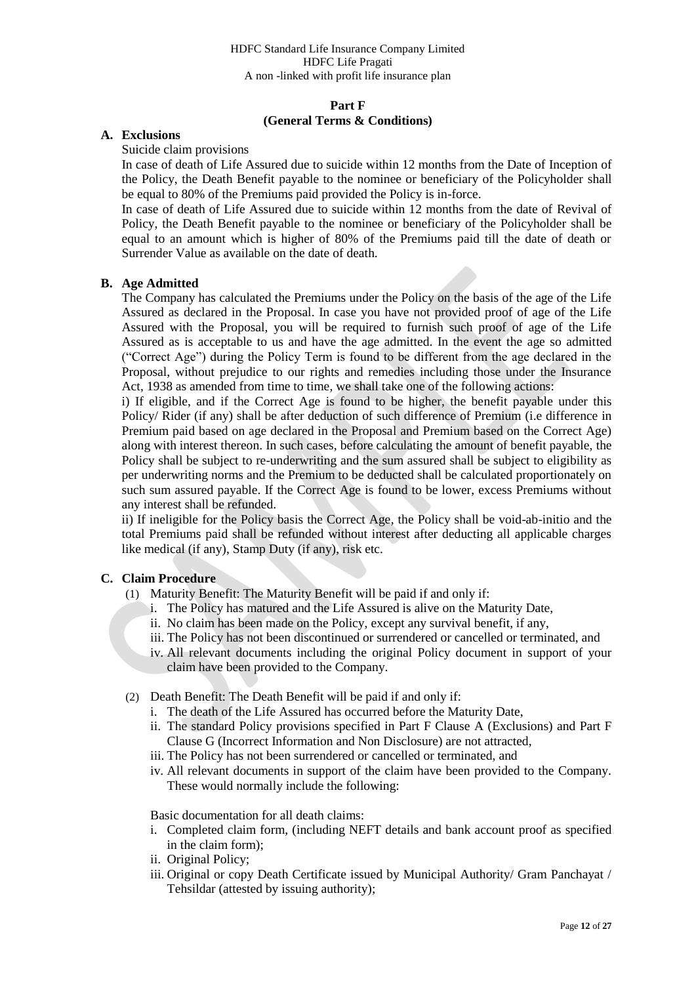#### **Part F (General Terms & Conditions)**

### **A. Exclusions**

Suicide claim provisions

In case of death of Life Assured due to suicide within 12 months from the Date of Inception of the Policy, the Death Benefit payable to the nominee or beneficiary of the Policyholder shall be equal to 80% of the Premiums paid provided the Policy is in-force.

In case of death of Life Assured due to suicide within 12 months from the date of Revival of Policy, the Death Benefit payable to the nominee or beneficiary of the Policyholder shall be equal to an amount which is higher of 80% of the Premiums paid till the date of death or Surrender Value as available on the date of death.

### **B. Age Admitted**

The Company has calculated the Premiums under the Policy on the basis of the age of the Life Assured as declared in the Proposal. In case you have not provided proof of age of the Life Assured with the Proposal, you will be required to furnish such proof of age of the Life Assured as is acceptable to us and have the age admitted. In the event the age so admitted ("Correct Age") during the Policy Term is found to be different from the age declared in the Proposal, without prejudice to our rights and remedies including those under the Insurance Act, 1938 as amended from time to time, we shall take one of the following actions:

i) If eligible, and if the Correct Age is found to be higher, the benefit payable under this Policy/ Rider (if any) shall be after deduction of such difference of Premium (i.e difference in Premium paid based on age declared in the Proposal and Premium based on the Correct Age) along with interest thereon. In such cases, before calculating the amount of benefit payable, the Policy shall be subject to re-underwriting and the sum assured shall be subject to eligibility as per underwriting norms and the Premium to be deducted shall be calculated proportionately on such sum assured payable. If the Correct Age is found to be lower, excess Premiums without any interest shall be refunded.

ii) If ineligible for the Policy basis the Correct Age, the Policy shall be void-ab-initio and the total Premiums paid shall be refunded without interest after deducting all applicable charges like medical (if any), Stamp Duty (if any), risk etc.

### **C. Claim Procedure**

- (1) Maturity Benefit: The Maturity Benefit will be paid if and only if:
	- i. The Policy has matured and the Life Assured is alive on the Maturity Date,
	- ii. No claim has been made on the Policy, except any survival benefit, if any,
	- iii. The Policy has not been discontinued or surrendered or cancelled or terminated, and
	- iv. All relevant documents including the original Policy document in support of your claim have been provided to the Company.
- (2) Death Benefit: The Death Benefit will be paid if and only if:
	- i. The death of the Life Assured has occurred before the Maturity Date,
	- ii. The standard Policy provisions specified in Part F Clause A (Exclusions) and Part F Clause G (Incorrect Information and Non Disclosure) are not attracted,
	- iii. The Policy has not been surrendered or cancelled or terminated, and
	- iv. All relevant documents in support of the claim have been provided to the Company. These would normally include the following:

Basic documentation for all death claims:

- i. Completed claim form, (including NEFT details and bank account proof as specified in the claim form);
- ii. Original Policy;
- iii. Original or copy Death Certificate issued by Municipal Authority/ Gram Panchayat / Tehsildar (attested by issuing authority);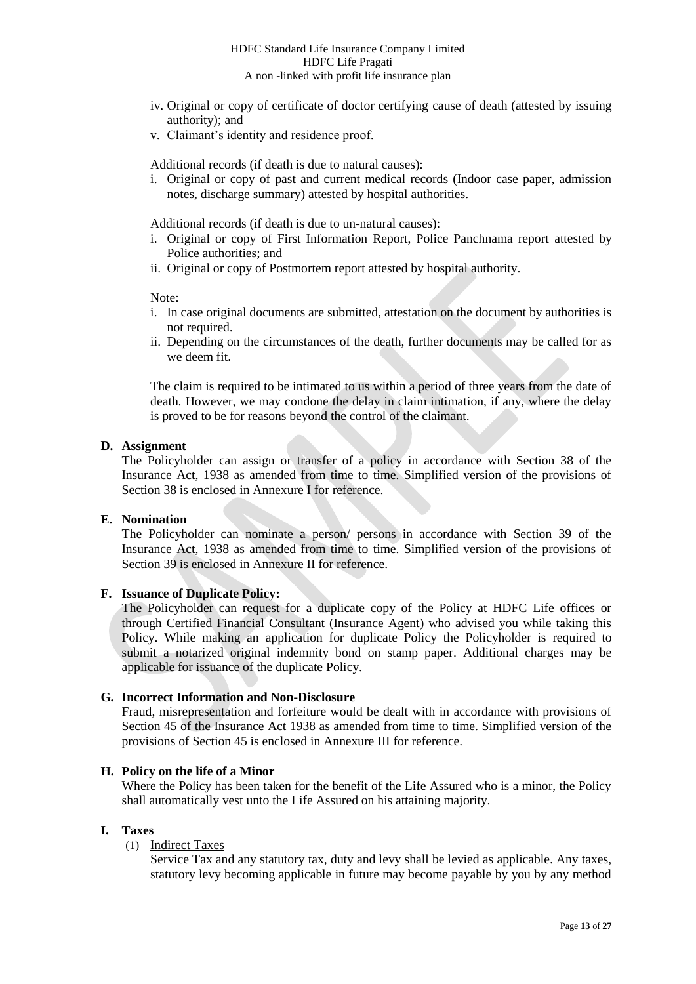- iv. Original or copy of certificate of doctor certifying cause of death (attested by issuing authority); and
- v. Claimant's identity and residence proof.

Additional records (if death is due to natural causes):

i. Original or copy of past and current medical records (Indoor case paper, admission notes, discharge summary) attested by hospital authorities.

Additional records (if death is due to un-natural causes):

- i. Original or copy of First Information Report, Police Panchnama report attested by Police authorities; and
- ii. Original or copy of Postmortem report attested by hospital authority.

Note:

- i. In case original documents are submitted, attestation on the document by authorities is not required.
- ii. Depending on the circumstances of the death, further documents may be called for as we deem fit.

The claim is required to be intimated to us within a period of three years from the date of death. However, we may condone the delay in claim intimation, if any, where the delay is proved to be for reasons beyond the control of the claimant.

### **D. Assignment**

The Policyholder can assign or transfer of a policy in accordance with Section 38 of the Insurance Act, 1938 as amended from time to time. Simplified version of the provisions of Section 38 is enclosed in Annexure I for reference.

### **E. Nomination**

The Policyholder can nominate a person/ persons in accordance with Section 39 of the Insurance Act, 1938 as amended from time to time. Simplified version of the provisions of Section 39 is enclosed in Annexure II for reference.

### **F. Issuance of Duplicate Policy:**

The Policyholder can request for a duplicate copy of the Policy at HDFC Life offices or through Certified Financial Consultant (Insurance Agent) who advised you while taking this Policy. While making an application for duplicate Policy the Policyholder is required to submit a notarized original indemnity bond on stamp paper. Additional charges may be applicable for issuance of the duplicate Policy.

### **G. Incorrect Information and Non-Disclosure**

Fraud, misrepresentation and forfeiture would be dealt with in accordance with provisions of Section 45 of the Insurance Act 1938 as amended from time to time. Simplified version of the provisions of Section 45 is enclosed in Annexure III for reference.

#### **H. Policy on the life of a Minor**

Where the Policy has been taken for the benefit of the Life Assured who is a minor, the Policy shall automatically vest unto the Life Assured on his attaining majority.

#### **I. Taxes**

# (1) Indirect Taxes

Service Tax and any statutory tax, duty and levy shall be levied as applicable. Any taxes, statutory levy becoming applicable in future may become payable by you by any method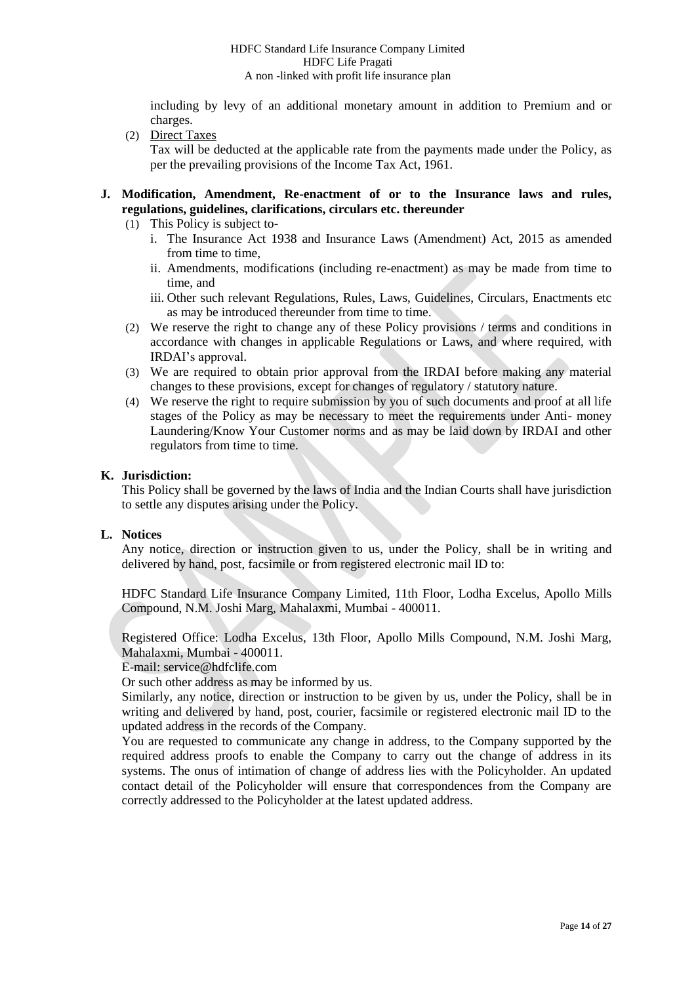including by levy of an additional monetary amount in addition to Premium and or charges.

(2) Direct Taxes

Tax will be deducted at the applicable rate from the payments made under the Policy, as per the prevailing provisions of the Income Tax Act, 1961.

### **J. Modification, Amendment, Re-enactment of or to the Insurance laws and rules, regulations, guidelines, clarifications, circulars etc. thereunder**

- (1) This Policy is subject to
	- i. The Insurance Act 1938 and Insurance Laws (Amendment) Act, 2015 as amended from time to time,
	- ii. Amendments, modifications (including re-enactment) as may be made from time to time, and
	- iii. Other such relevant Regulations, Rules, Laws, Guidelines, Circulars, Enactments etc as may be introduced thereunder from time to time.
- (2) We reserve the right to change any of these Policy provisions / terms and conditions in accordance with changes in applicable Regulations or Laws, and where required, with IRDAI's approval.
- (3) We are required to obtain prior approval from the IRDAI before making any material changes to these provisions, except for changes of regulatory / statutory nature.
- (4) We reserve the right to require submission by you of such documents and proof at all life stages of the Policy as may be necessary to meet the requirements under Anti- money Laundering/Know Your Customer norms and as may be laid down by IRDAI and other regulators from time to time.

### **K. Jurisdiction:**

This Policy shall be governed by the laws of India and the Indian Courts shall have jurisdiction to settle any disputes arising under the Policy.

### **L. Notices**

Any notice, direction or instruction given to us, under the Policy, shall be in writing and delivered by hand, post, facsimile or from registered electronic mail ID to:

HDFC Standard Life Insurance Company Limited, 11th Floor, Lodha Excelus, Apollo Mills Compound, N.M. Joshi Marg, Mahalaxmi, Mumbai - 400011.

Registered Office: Lodha Excelus, 13th Floor, Apollo Mills Compound, N.M. Joshi Marg, Mahalaxmi, Mumbai - 400011.

E-mail: service@hdfclife.com

Or such other address as may be informed by us.

Similarly, any notice, direction or instruction to be given by us, under the Policy, shall be in writing and delivered by hand, post, courier, facsimile or registered electronic mail ID to the updated address in the records of the Company.

You are requested to communicate any change in address, to the Company supported by the required address proofs to enable the Company to carry out the change of address in its systems. The onus of intimation of change of address lies with the Policyholder. An updated contact detail of the Policyholder will ensure that correspondences from the Company are correctly addressed to the Policyholder at the latest updated address.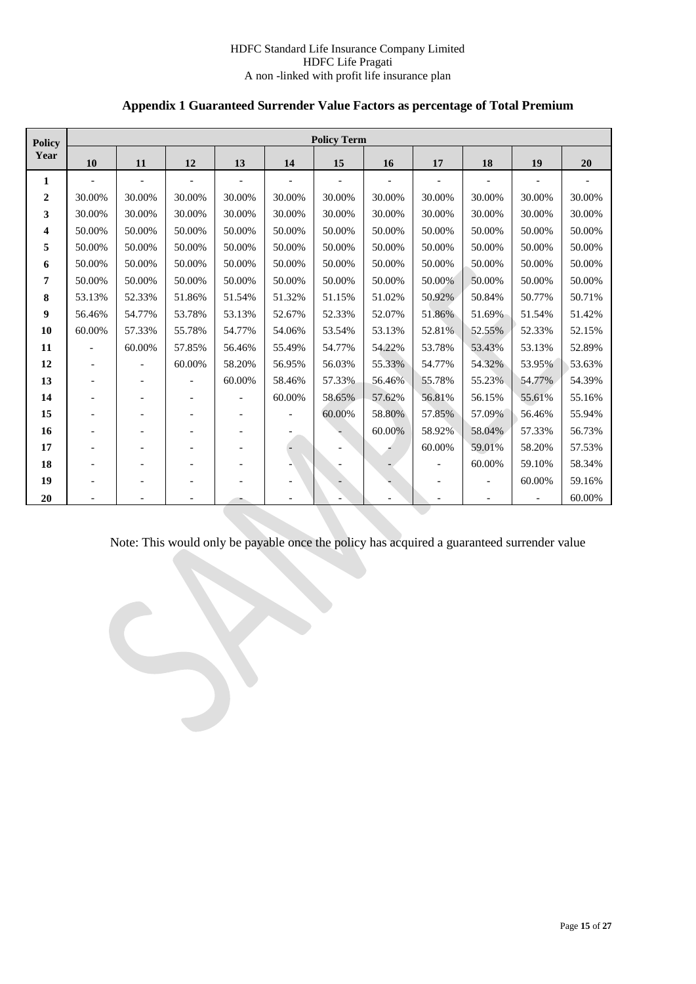# **Appendix 1 Guaranteed Surrender Value Factors as percentage of Total Premium**

| <b>Policy</b>  |                          |                          |                          |                          |                | <b>Policy Term</b> |        |                          |                          |                          |        |
|----------------|--------------------------|--------------------------|--------------------------|--------------------------|----------------|--------------------|--------|--------------------------|--------------------------|--------------------------|--------|
| Year           | 10                       | 11                       | 12                       | 13                       | 14             | 15                 | 16     | 17                       | 18                       | 19                       | 20     |
| $\mathbf{1}$   | $\overline{\phantom{a}}$ | $\blacksquare$           | $\overline{\phantom{a}}$ | $\overline{a}$           | $\overline{a}$ | $\overline{a}$     |        | $\overline{\phantom{a}}$ |                          |                          |        |
| $\overline{2}$ | 30.00%                   | 30.00%                   | 30.00%                   | 30.00%                   | 30.00%         | 30.00%             | 30.00% | 30.00%                   | 30.00%                   | 30.00%                   | 30.00% |
| 3              | 30.00%                   | 30.00%                   | 30.00%                   | 30.00%                   | 30.00%         | 30.00%             | 30.00% | 30.00%                   | 30.00%                   | 30.00%                   | 30.00% |
| 4              | 50.00%                   | 50.00%                   | 50.00%                   | 50.00%                   | 50.00%         | 50.00%             | 50.00% | 50.00%                   | 50.00%                   | 50.00%                   | 50.00% |
| 5              | 50.00%                   | 50.00%                   | 50.00%                   | 50.00%                   | 50.00%         | 50.00%             | 50.00% | 50.00%                   | 50.00%                   | 50.00%                   | 50.00% |
| 6              | 50.00%                   | 50.00%                   | 50.00%                   | 50.00%                   | 50.00%         | 50.00%             | 50.00% | 50.00%                   | 50.00%                   | 50.00%                   | 50.00% |
| 7              | 50.00%                   | 50.00%                   | 50.00%                   | 50.00%                   | 50.00%         | 50.00%             | 50.00% | 50.00%                   | 50.00%                   | 50.00%                   | 50.00% |
| 8              | 53.13%                   | 52.33%                   | 51.86%                   | 51.54%                   | 51.32%         | 51.15%             | 51.02% | 50.92%                   | 50.84%                   | 50.77%                   | 50.71% |
| 9              | 56.46%                   | 54.77%                   | 53.78%                   | 53.13%                   | 52.67%         | 52.33%             | 52.07% | 51.86%                   | 51.69%                   | 51.54%                   | 51.42% |
| 10             | 60.00%                   | 57.33%                   | 55.78%                   | 54.77%                   | 54.06%         | 53.54%             | 53.13% | 52.81%                   | 52.55%                   | 52.33%                   | 52.15% |
| 11             |                          | 60.00%                   | 57.85%                   | 56.46%                   | 55.49%         | 54.77%             | 54.22% | 53.78%                   | 53.43%                   | 53.13%                   | 52.89% |
| 12             |                          | $\overline{\phantom{a}}$ | 60.00%                   | 58.20%                   | 56.95%         | 56.03%             | 55.33% | 54.77%                   | 54.32%                   | 53.95%                   | 53.63% |
| 13             |                          |                          | $\overline{\phantom{a}}$ | 60.00%                   | 58.46%         | 57.33%             | 56.46% | 55.78%                   | 55.23%                   | 54.77%                   | 54.39% |
| 14             | $\overline{\phantom{a}}$ | $\overline{\phantom{0}}$ | $\overline{\phantom{a}}$ | $\overline{a}$           | 60.00%         | 58.65%             | 57.62% | 56.81%                   | 56.15%                   | 55.61%                   | 55.16% |
| 15             |                          |                          |                          | $\overline{a}$           |                | 60.00%             | 58.80% | 57.85%                   | 57.09%                   | 56.46%                   | 55.94% |
| 16             |                          |                          |                          | $\overline{\phantom{a}}$ |                |                    | 60.00% | 58.92%                   | 58.04%                   | 57.33%                   | 56.73% |
| 17             |                          |                          |                          |                          |                |                    |        | 60.00%                   | 59.01%                   | 58.20%                   | 57.53% |
| 18             |                          |                          |                          |                          |                |                    |        | $\overline{\phantom{a}}$ | 60.00%                   | 59.10%                   | 58.34% |
| 19             | $\overline{\phantom{a}}$ |                          | $\overline{\phantom{0}}$ |                          |                |                    |        | $\overline{\phantom{a}}$ | $\overline{\phantom{a}}$ | 60.00%                   | 59.16% |
| 20             |                          |                          |                          |                          |                |                    |        |                          |                          | $\overline{\phantom{a}}$ | 60.00% |

Note: This would only be payable once the policy has acquired a guaranteed surrender value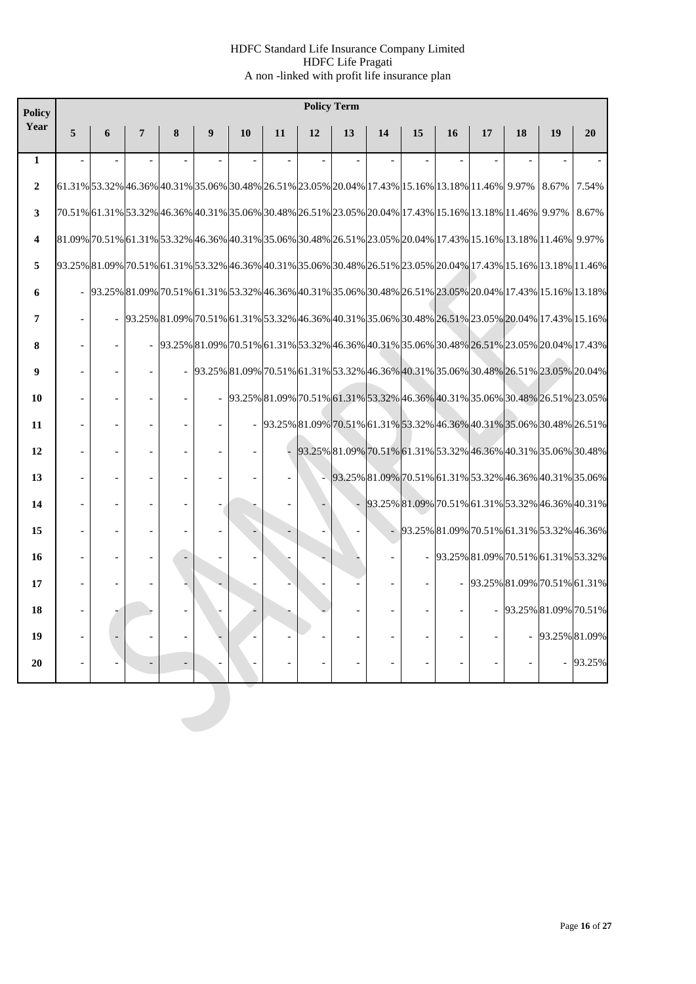| <b>Policy</b>  | <b>Policy Term</b>                                                                                             |   |   |   |   |                                                                                                                                                                                                                                                                      |    |    |    |                                                                       |    |    |                                           |    |                      |        |
|----------------|----------------------------------------------------------------------------------------------------------------|---|---|---|---|----------------------------------------------------------------------------------------------------------------------------------------------------------------------------------------------------------------------------------------------------------------------|----|----|----|-----------------------------------------------------------------------|----|----|-------------------------------------------|----|----------------------|--------|
| Year           | 5                                                                                                              | 6 | 7 | 8 | 9 | 10                                                                                                                                                                                                                                                                   | 11 | 12 | 13 | 14                                                                    | 15 | 16 | 17                                        | 18 | 19                   | 20     |
| $\mathbf{1}$   |                                                                                                                |   |   |   |   |                                                                                                                                                                                                                                                                      |    |    |    |                                                                       |    |    |                                           |    |                      |        |
| $\overline{2}$ |                                                                                                                |   |   |   |   | 61.31% 53.32% 46.36% 40.31% 53.06% 30.48% 26.51% 23.05% 20.04% 17.43% 15.16% 13.18% 11.46% 9.97%                                                                                                                                                                     |    |    |    |                                                                       |    |    |                                           |    | 8.67%                | 7.54%  |
| 3              |                                                                                                                |   |   |   |   | 70.51% 61.31% 53.32% 46.36% 40.31% 35.06% 30.48% 26.51% 23.05% 20.04% 17.43% 15.16% 13.18% 11.46% 9.97%                                                                                                                                                              |    |    |    |                                                                       |    |    |                                           |    |                      | 8.67%  |
| 4              | 81.09% 70.51% 61.31% 53.32% 46.36% 40.31% 53.06% 30.48% 26.51% 23.05% 20.04% 17.43% 15.16% 13.18% 11.46% 9.97% |   |   |   |   |                                                                                                                                                                                                                                                                      |    |    |    |                                                                       |    |    |                                           |    |                      |        |
| 5              |                                                                                                                |   |   |   |   | 93.25% 81.09% 70.51% 61.31% 53.32% 46.36% 40.31% 35.06% 30.48% 26.51% 23.05% 20.04% 17.43% 15.16% 13.18% 11.46%                                                                                                                                                      |    |    |    |                                                                       |    |    |                                           |    |                      |        |
| 6              |                                                                                                                |   |   |   |   | 93.25% 81.09% 70.51% 61.31% 53.32% 46.36% 40.31% 35.06% 30.48% 26.51% 23.05% 20.04% 17.43% 15.16% 13.18%                                                                                                                                                             |    |    |    |                                                                       |    |    |                                           |    |                      |        |
| 7              |                                                                                                                |   |   |   |   | 93.25% 81.09% 70.51% 61.31% 53.32% 46.36% 40.31% 35.06% 30.48% 26.51% 23.05% 20.04% 17.43% 15.16%                                                                                                                                                                    |    |    |    |                                                                       |    |    |                                           |    |                      |        |
| 8              |                                                                                                                |   |   |   |   | $-$ $93.25\% \,   81.09\% \,   70.51\% \,   61.31\% \,   53.32\% \,   46.36\% \,   40.31\% \,   35.06\% \,   30.48\% \,   26.51\% \,   23.05\% \,   20.04\% \,   17.43\% \,   16.02\% \,   17.43\% \,   16.02\% \,   17.43\% \,   17.43\% \,   16.02\% \,   17.43\%$ |    |    |    |                                                                       |    |    |                                           |    |                      |        |
| 9              |                                                                                                                |   |   |   |   | 93.25% 81.09% 70.51% 61.31% 53.32% 46.36% 40.31% 35.06% 30.48% 26.51% 23.05% 20.04%                                                                                                                                                                                  |    |    |    |                                                                       |    |    |                                           |    |                      |        |
| 10             |                                                                                                                |   |   |   |   | 93.25% 81.09% 70.51% 61.31% 53.32% 46.36% 40.31% 35.06% 30.48% 26.51% 23.05%                                                                                                                                                                                         |    |    |    |                                                                       |    |    |                                           |    |                      |        |
| 11             |                                                                                                                |   |   |   |   |                                                                                                                                                                                                                                                                      |    |    |    | 93.25% 81.09% 70.51% 61.31% 53.32% 46.36% 40.31% 35.06% 30.48% 26.51% |    |    |                                           |    |                      |        |
| 12             |                                                                                                                |   |   |   |   |                                                                                                                                                                                                                                                                      |    |    |    | 93.25% 81.09% 70.51% 61.31% 53.32% 46.36% 40.31% 35.06% 30.48%        |    |    |                                           |    |                      |        |
| 13             |                                                                                                                |   |   |   |   |                                                                                                                                                                                                                                                                      |    |    |    | 93.25% 81.09% 70.51% 61.31% 53.32% 46.36% 40.31% 35.06%               |    |    |                                           |    |                      |        |
| 14             |                                                                                                                |   |   |   |   |                                                                                                                                                                                                                                                                      |    |    |    | 93.25% 81.09% 70.51% 61.31% 53.32% 46.36% 40.31%                      |    |    |                                           |    |                      |        |
| 15             |                                                                                                                |   |   |   |   |                                                                                                                                                                                                                                                                      |    |    |    |                                                                       |    |    | 93.25% 81.09% 70.51% 61.31% 53.32% 46.36% |    |                      |        |
| 16             |                                                                                                                |   |   |   |   |                                                                                                                                                                                                                                                                      |    |    |    |                                                                       |    |    | $-$ 93.25% 81.09% 70.51% 61.31% 53.32%    |    |                      |        |
| 17             |                                                                                                                |   |   |   |   | $\overline{\phantom{a}}$                                                                                                                                                                                                                                             |    |    |    |                                                                       |    |    | 93.25% 81.09% 70.51% 61.31%               |    |                      |        |
| 18             |                                                                                                                |   |   |   |   |                                                                                                                                                                                                                                                                      |    |    |    |                                                                       |    |    |                                           |    | 93.25% 81.09% 70.51% |        |
| 19             |                                                                                                                |   |   |   |   |                                                                                                                                                                                                                                                                      |    |    |    |                                                                       |    |    |                                           |    | 93.25% 81.09%        |        |
| 20             |                                                                                                                |   |   |   |   |                                                                                                                                                                                                                                                                      |    |    |    |                                                                       |    |    |                                           |    |                      | 93.25% |
|                |                                                                                                                |   |   |   |   |                                                                                                                                                                                                                                                                      |    |    |    |                                                                       |    |    |                                           |    |                      |        |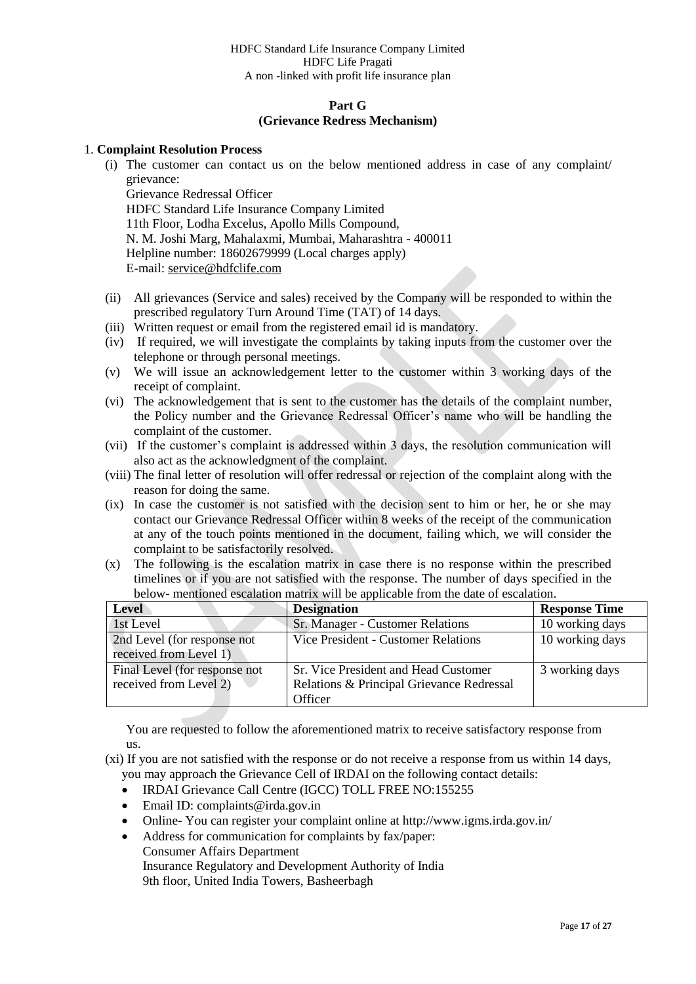### **Part G (Grievance Redress Mechanism)**

### 1. **Complaint Resolution Process**

(i) The customer can contact us on the below mentioned address in case of any complaint/ grievance:

Grievance Redressal Officer HDFC Standard Life Insurance Company Limited 11th Floor, Lodha Excelus, Apollo Mills Compound, N. M. Joshi Marg, Mahalaxmi, Mumbai, Maharashtra - 400011 Helpline number: 18602679999 (Local charges apply) E-mail[: service@hdfclife.com](mailto:service@hdfclife.com)

- (ii) All grievances (Service and sales) received by the Company will be responded to within the prescribed regulatory Turn Around Time (TAT) of 14 days.
- (iii) Written request or email from the registered email id is mandatory.
- (iv) If required, we will investigate the complaints by taking inputs from the customer over the telephone or through personal meetings.
- (v) We will issue an acknowledgement letter to the customer within 3 working days of the receipt of complaint.
- (vi) The acknowledgement that is sent to the customer has the details of the complaint number, the Policy number and the Grievance Redressal Officer's name who will be handling the complaint of the customer.
- (vii) If the customer's complaint is addressed within 3 days, the resolution communication will also act as the acknowledgment of the complaint.
- (viii) The final letter of resolution will offer redressal or rejection of the complaint along with the reason for doing the same.
- (ix) In case the customer is not satisfied with the decision sent to him or her, he or she may contact our Grievance Redressal Officer within 8 weeks of the receipt of the communication at any of the touch points mentioned in the document, failing which, we will consider the complaint to be satisfactorily resolved.
- (x) The following is the escalation matrix in case there is no response within the prescribed timelines or if you are not satisfied with the response. The number of days specified in the below- mentioned escalation matrix will be applicable from the date of escalation.

| <b>Level</b>                                            | <b>Designation</b>                                                                           | <b>Response Time</b> |
|---------------------------------------------------------|----------------------------------------------------------------------------------------------|----------------------|
| 1st Level                                               | Sr. Manager - Customer Relations                                                             | 10 working days      |
| 2nd Level (for response not<br>received from Level 1)   | Vice President - Customer Relations                                                          | 10 working days      |
| Final Level (for response not<br>received from Level 2) | Sr. Vice President and Head Customer<br>Relations & Principal Grievance Redressal<br>Officer | 3 working days       |

You are requested to follow the aforementioned matrix to receive satisfactory response from us.

(xi) If you are not satisfied with the response or do not receive a response from us within 14 days, you may approach the Grievance Cell of IRDAI on the following contact details:

- IRDAI Grievance Call Centre (IGCC) TOLL FREE NO:155255
- $\bullet$  Email ID: complaints@irda.gov.in
- Online- You can register your complaint online at http://www.igms.irda.gov.in/
- Address for communication for complaints by fax/paper: Consumer Affairs Department Insurance Regulatory and Development Authority of India 9th floor, United India Towers, Basheerbagh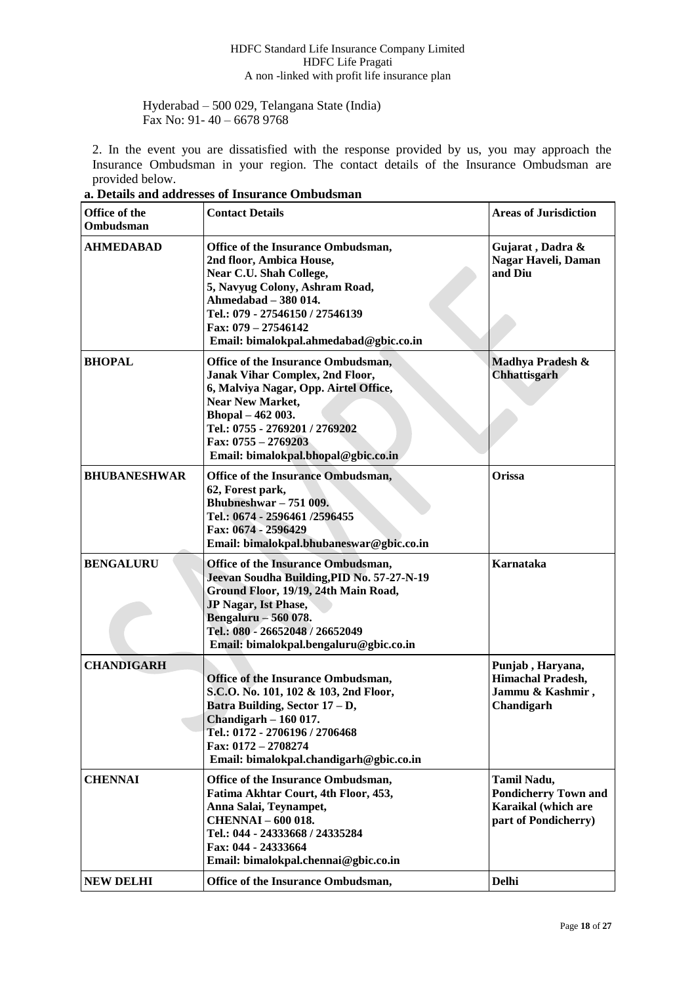Hyderabad – 500 029, Telangana State (India) Fax No: 91- 40 – 6678 9768

2. In the event you are dissatisfied with the response provided by us, you may approach the Insurance Ombudsman in your region. The contact details of the Insurance Ombudsman are provided below.

| Office of the<br>Ombudsman | <b>Contact Details</b>                                                                                                                                                                                                                                                  | <b>Areas of Jurisdiction</b>                                                              |
|----------------------------|-------------------------------------------------------------------------------------------------------------------------------------------------------------------------------------------------------------------------------------------------------------------------|-------------------------------------------------------------------------------------------|
| <b>AHMEDABAD</b>           | Office of the Insurance Ombudsman,<br>2nd floor, Ambica House,<br>Near C.U. Shah College,<br>5, Navyug Colony, Ashram Road,<br>Ahmedabad - 380 014.<br>Tel.: 079 - 27546150 / 27546139<br>Fax: 079 - 27546142<br>Email: bimalokpal.ahmedabad@gbic.co.in                 | Gujarat, Dadra &<br>Nagar Haveli, Daman<br>and Diu                                        |
| <b>BHOPAL</b>              | Office of the Insurance Ombudsman,<br><b>Janak Vihar Complex, 2nd Floor,</b><br>6, Malviya Nagar, Opp. Airtel Office,<br><b>Near New Market,</b><br>Bhopal - 462 003.<br>Tel.: 0755 - 2769201 / 2769202<br>Fax: $0755 - 2769203$<br>Email: bimalokpal.bhopal@gbic.co.in | Madhya Pradesh &<br>Chhattisgarh                                                          |
| <b>BHUBANESHWAR</b>        | Office of the Insurance Ombudsman,<br>62, Forest park,<br>Bhubneshwar $-751009$ .<br>Tel.: 0674 - 2596461 /2596455<br>Fax: 0674 - 2596429<br>Email: bimalokpal.bhubaneswar@gbic.co.in                                                                                   | Orissa                                                                                    |
| <b>BENGALURU</b>           | Office of the Insurance Ombudsman,<br>Jeevan Soudha Building, PID No. 57-27-N-19<br>Ground Floor, 19/19, 24th Main Road,<br>JP Nagar, Ist Phase,<br>Bengaluru - 560 078.<br>Tel.: 080 - 26652048 / 26652049<br>Email: bimalokpal.bengaluru@gbic.co.in                   | Karnataka                                                                                 |
| <b>CHANDIGARH</b>          | Office of the Insurance Ombudsman,<br>S.C.O. No. 101, 102 & 103, 2nd Floor,<br>Batra Building, Sector 17 - D,<br>Chandigarh $-160$ 017.<br>Tel.: 0172 - 2706196 / 2706468<br>Fax: 0172 - 2708274<br>Email: bimalokpal.chandigarh@gbic.co.in                             | Punjab, Haryana,<br><b>Himachal Pradesh,</b><br>Jammu & Kashmir,<br>Chandigarh            |
| <b>CHENNAI</b>             | Office of the Insurance Ombudsman,<br>Fatima Akhtar Court, 4th Floor, 453,<br>Anna Salai, Teynampet,<br><b>CHENNAI - 600 018.</b><br>Tel.: 044 - 24333668 / 24335284<br>Fax: 044 - 24333664<br>Email: bimalokpal.chennai@gbic.co.in                                     | Tamil Nadu,<br><b>Pondicherry Town and</b><br>Karaikal (which are<br>part of Pondicherry) |
| <b>NEW DELHI</b>           | Office of the Insurance Ombudsman,                                                                                                                                                                                                                                      | <b>Delhi</b>                                                                              |

**a. Details and addresses of Insurance Ombudsman**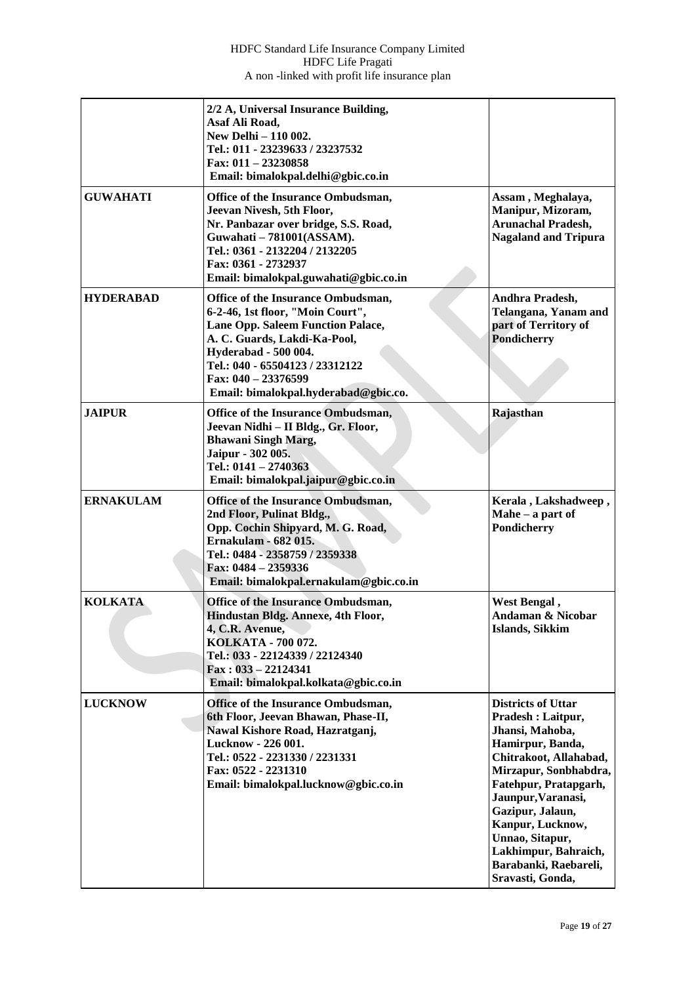|                  | 2/2 A, Universal Insurance Building,<br>Asaf Ali Road,<br>New Delhi - 110 002.<br>Tel.: 011 - 23239633 / 23237532<br>Fax: $011 - 23230858$<br>Email: bimalokpal.delhi@gbic.co.in                                                                                             |                                                                                                                                                                                                                                                                                                                         |
|------------------|------------------------------------------------------------------------------------------------------------------------------------------------------------------------------------------------------------------------------------------------------------------------------|-------------------------------------------------------------------------------------------------------------------------------------------------------------------------------------------------------------------------------------------------------------------------------------------------------------------------|
| <b>GUWAHATI</b>  | Office of the Insurance Ombudsman,<br>Jeevan Nivesh, 5th Floor,<br>Nr. Panbazar over bridge, S.S. Road,<br>Guwahati - 781001(ASSAM).<br>Tel.: 0361 - 2132204 / 2132205<br>Fax: 0361 - 2732937<br>Email: bimalokpal.guwahati@gbic.co.in                                       | Assam, Meghalaya,<br>Manipur, Mizoram,<br><b>Arunachal Pradesh,</b><br><b>Nagaland and Tripura</b>                                                                                                                                                                                                                      |
| <b>HYDERABAD</b> | Office of the Insurance Ombudsman,<br>6-2-46, 1st floor, "Moin Court",<br>Lane Opp. Saleem Function Palace,<br>A. C. Guards, Lakdi-Ka-Pool,<br><b>Hyderabad - 500 004.</b><br>Tel.: 040 - 65504123 / 23312122<br>Fax: 040 - 23376599<br>Email: bimalokpal.hyderabad@gbic.co. | Andhra Pradesh,<br>Telangana, Yanam and<br>part of Territory of<br><b>Pondicherry</b>                                                                                                                                                                                                                                   |
| <b>JAIPUR</b>    | Office of the Insurance Ombudsman,<br>Jeevan Nidhi - II Bldg., Gr. Floor,<br><b>Bhawani Singh Marg,</b><br>Jaipur - 302 005.<br>Tel.: $0141 - 2740363$<br>Email: bimalokpal.jaipur@gbic.co.in                                                                                | Rajasthan                                                                                                                                                                                                                                                                                                               |
| <b>ERNAKULAM</b> | Office of the Insurance Ombudsman,<br>2nd Floor, Pulinat Bldg.,<br>Opp. Cochin Shipyard, M. G. Road,<br><b>Ernakulam - 682 015.</b><br>Tel.: 0484 - 2358759 / 2359338<br>Fax: 0484 - 2359336<br>Email: bimalokpal.ernakulam@gbic.co.in                                       | Kerala, Lakshadweep,<br>Mahe $-$ a part of<br>Pondicherry                                                                                                                                                                                                                                                               |
| <b>KOLKATA</b>   | Office of the Insurance Ombudsman,<br>Hindustan Bldg. Annexe, 4th Floor,<br>4, C.R. Avenue,<br>KOLKATA - 700 072.<br>Tel.: 033 - 22124339 / 22124340<br>$\text{Fax}: 033 - 22124341$<br>Email: bimalokpal.kolkata@gbic.co.in                                                 | West Bengal,<br><b>Andaman &amp; Nicobar</b><br><b>Islands, Sikkim</b>                                                                                                                                                                                                                                                  |
| <b>LUCKNOW</b>   | Office of the Insurance Ombudsman,<br>6th Floor, Jeevan Bhawan, Phase-II,<br>Nawal Kishore Road, Hazratganj,<br>Lucknow - 226 001.<br>Tel.: 0522 - 2231330 / 2231331<br>Fax: 0522 - 2231310<br>Email: bimalokpal.lucknow@gbic.co.in                                          | <b>Districts of Uttar</b><br>Pradesh: Laitpur,<br>Jhansi, Mahoba,<br>Hamirpur, Banda,<br>Chitrakoot, Allahabad,<br>Mirzapur, Sonbhabdra,<br>Fatehpur, Pratapgarh,<br>Jaunpur, Varanasi,<br>Gazipur, Jalaun,<br>Kanpur, Lucknow,<br>Unnao, Sitapur,<br>Lakhimpur, Bahraich,<br>Barabanki, Raebareli,<br>Sravasti, Gonda, |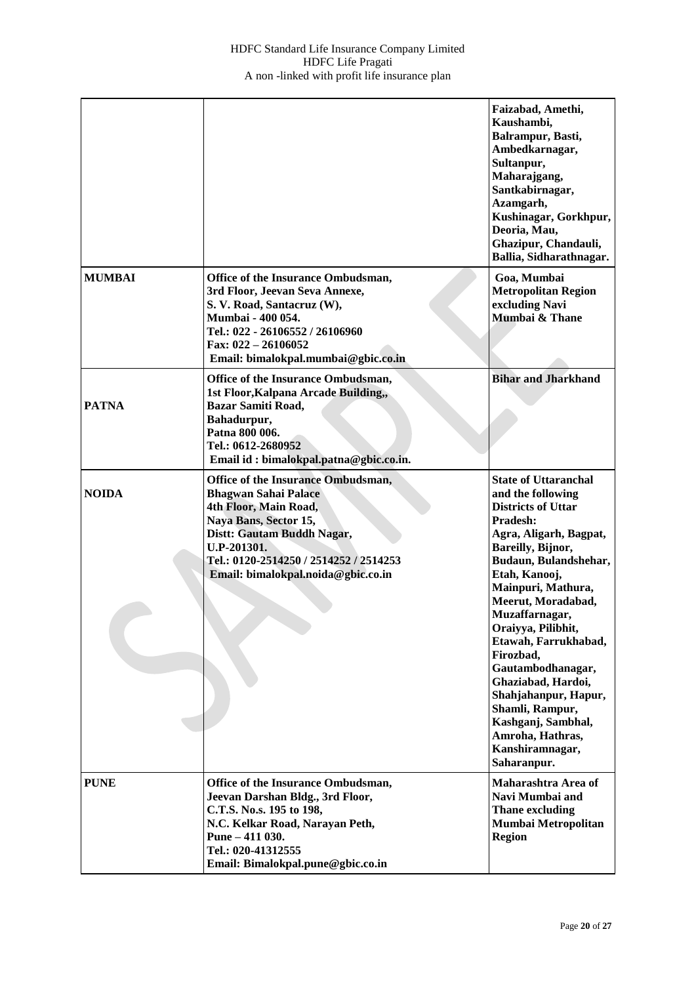|               |                                                                                                                                                                                                                                                  | Faizabad, Amethi,<br>Kaushambi,<br>Balrampur, Basti,<br>Ambedkarnagar,<br>Sultanpur,<br>Maharajgang,<br>Santkabirnagar,<br>Azamgarh,<br>Kushinagar, Gorkhpur,<br>Deoria, Mau,<br>Ghazipur, Chandauli,<br>Ballia, Sidharathnagar.                                                                                                                                                                                                                                              |
|---------------|--------------------------------------------------------------------------------------------------------------------------------------------------------------------------------------------------------------------------------------------------|-------------------------------------------------------------------------------------------------------------------------------------------------------------------------------------------------------------------------------------------------------------------------------------------------------------------------------------------------------------------------------------------------------------------------------------------------------------------------------|
| <b>MUMBAI</b> | Office of the Insurance Ombudsman,<br>3rd Floor, Jeevan Seva Annexe,<br>S. V. Road, Santacruz (W),<br>Mumbai - 400 054.<br>Tel.: 022 - 26106552 / 26106960<br>Fax: $022 - 26106052$<br>Email: bimalokpal.mumbai@gbic.co.in                       | Goa, Mumbai<br><b>Metropolitan Region</b><br>excluding Navi<br>Mümbai & Thane                                                                                                                                                                                                                                                                                                                                                                                                 |
| <b>PATNA</b>  | Office of the Insurance Ombudsman,<br>1st Floor, Kalpana Arcade Building,,<br><b>Bazar Samiti Road,</b><br>Bahadurpur,<br>Patna 800 006.<br>Tel.: 0612-2680952<br>Email id: bimalokpal.patna@gbic.co.in.                                         | <b>Bihar and Jharkhand</b>                                                                                                                                                                                                                                                                                                                                                                                                                                                    |
| <b>NOIDA</b>  | Office of the Insurance Ombudsman,<br><b>Bhagwan Sahai Palace</b><br>4th Floor, Main Road,<br>Naya Bans, Sector 15,<br>Distt: Gautam Buddh Nagar,<br>U.P-201301.<br>Tel.: 0120-2514250 / 2514252 / 2514253<br>Email: bimalokpal.noida@gbic.co.in | <b>State of Uttaranchal</b><br>and the following<br><b>Districts of Uttar</b><br>Pradesh:<br>Agra, Aligarh, Bagpat,<br>Bareilly, Bijnor,<br>Budaun, Bulandshehar,<br>Etah, Kanooj,<br>Mainpuri, Mathura,<br>Meerut, Moradabad,<br>Muzaffarnagar,<br>Oraiyya, Pilibhit,<br>Etawah, Farrukhabad,<br>Firozbad,<br>Gautambodhanagar,<br>Ghaziabad, Hardoi,<br>Shahjahanpur, Hapur,<br>Shamli, Rampur,<br>Kashganj, Sambhal,<br>Amroha, Hathras,<br>Kanshiramnagar,<br>Saharanpur. |
| <b>PUNE</b>   | Office of the Insurance Ombudsman,<br>Jeevan Darshan Bldg., 3rd Floor,<br>C.T.S. No.s. 195 to 198,<br>N.C. Kelkar Road, Narayan Peth,<br>Pune $-411$ 030.<br>Tel.: 020-41312555<br>Email: Bimalokpal.pune@gbic.co.in                             | Maharashtra Area of<br>Navi Mumbai and<br><b>Thane excluding</b><br>Mumbai Metropolitan<br><b>Region</b>                                                                                                                                                                                                                                                                                                                                                                      |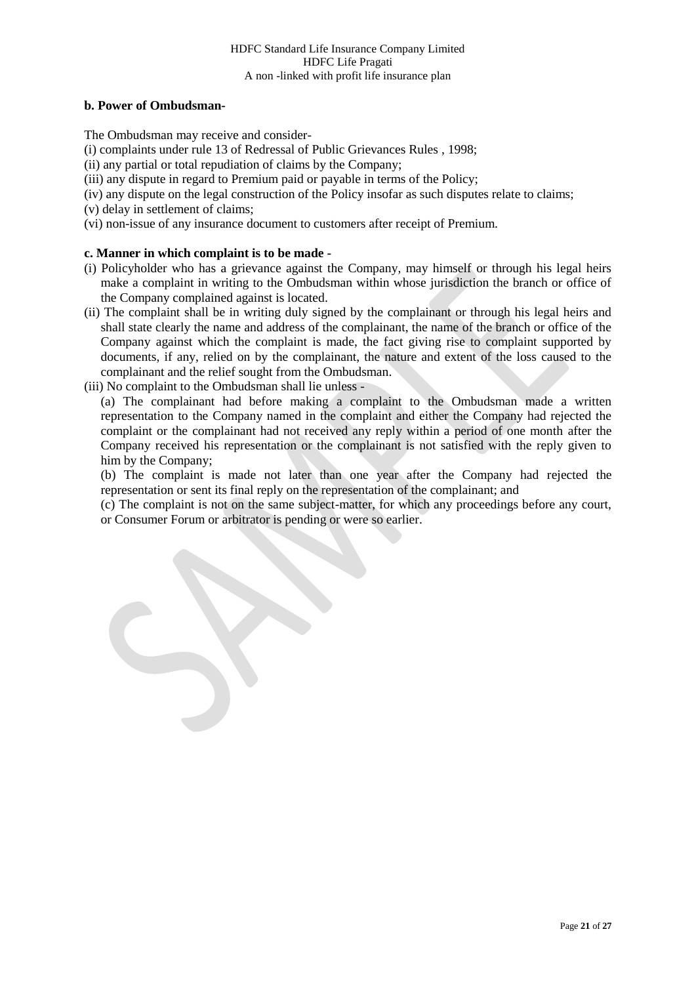# **b. Power of Ombudsman-**

The Ombudsman may receive and consider-

[\(i\)](http://indiankanoon.org/doc/160521836/) complaints under rule 13 of Redressal of Public Grievances Rules , 1998;

[\(ii\)](http://indiankanoon.org/doc/156757242/) any partial or total repudiation of claims by the Company;

[\(iii\)](http://indiankanoon.org/doc/163591613/) any dispute in regard to Premium paid or payable in terms of the Policy;

[\(iv\)](http://indiankanoon.org/doc/31367799/) any dispute on the legal construction of the Policy insofar as such disputes relate to claims;

[\(v\)](http://indiankanoon.org/doc/26463888/) delay in settlement of claims;

[\(vi\)](http://indiankanoon.org/doc/47238858/) non-issue of any insurance document to customers after receipt of Premium.

# **c. Manner in which complaint is to be made -**

- [\(i\)](http://indiankanoon.org/doc/160481793/) Policyholder who has a grievance against the Company, may himself or through his legal heirs make a complaint in writing to the Ombudsman within whose jurisdiction the branch or office of the Company complained against is located.
- [\(ii\)](http://indiankanoon.org/doc/116915928/) The complaint shall be in writing duly signed by the complainant or through his legal heirs and shall state clearly the name and address of the complainant, the name of the branch or office of the Company against which the complaint is made, the fact giving rise to complaint supported by documents, if any, relied on by the complainant, the nature and extent of the loss caused to the complainant and the relief sought from the Ombudsman.
- [\(iii\)](http://indiankanoon.org/doc/99464357/) No complaint to the Ombudsman shall lie unless -

[\(a\)](http://indiankanoon.org/doc/87794950/) The complainant had before making a complaint to the Ombudsman made a written representation to the Company named in the complaint and either the Company had rejected the complaint or the complainant had not received any reply within a period of one month after the Company received his representation or the complainant is not satisfied with the reply given to him by the Company;

[\(b\)](http://indiankanoon.org/doc/84880221/) The complaint is made not later than one year after the Company had rejected the representation or sent its final reply on the representation of the complainant; and

[\(c\)](http://indiankanoon.org/doc/116794480/) The complaint is not on the same subject-matter, for which any proceedings before any court, or Consumer Forum or arbitrator is pending or were so earlier.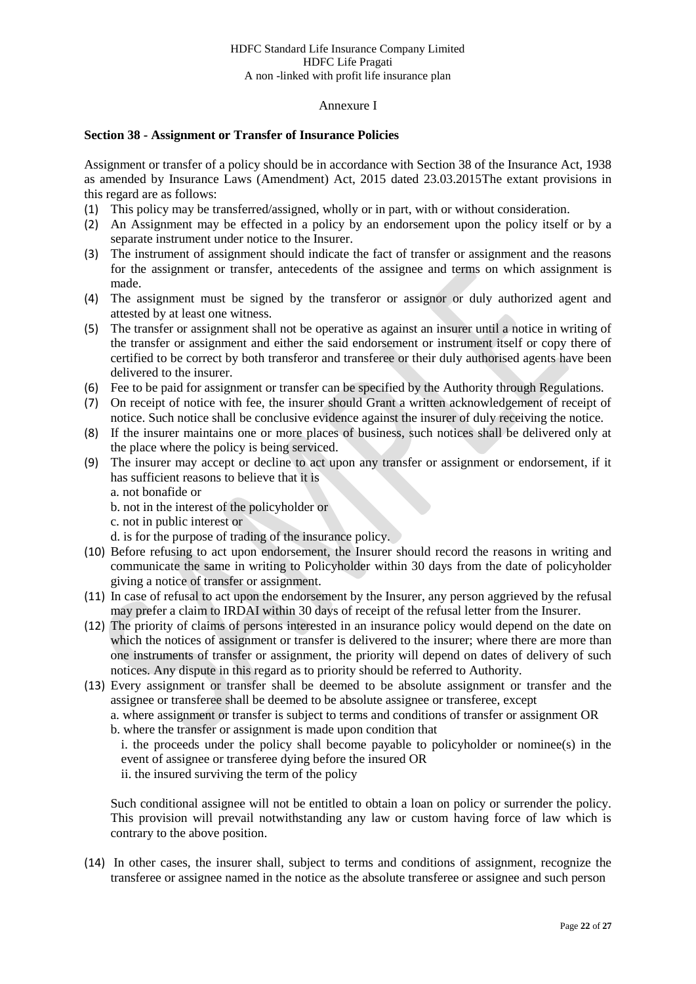### Annexure I

### **Section 38 - Assignment or Transfer of Insurance Policies**

Assignment or transfer of a policy should be in accordance with Section 38 of the Insurance Act, 1938 as amended by Insurance Laws (Amendment) Act, 2015 dated 23.03.2015The extant provisions in this regard are as follows:

- (1) This policy may be transferred/assigned, wholly or in part, with or without consideration.
- (2) An Assignment may be effected in a policy by an endorsement upon the policy itself or by a separate instrument under notice to the Insurer.
- (3) The instrument of assignment should indicate the fact of transfer or assignment and the reasons for the assignment or transfer, antecedents of the assignee and terms on which assignment is made.
- (4) The assignment must be signed by the transferor or assignor or duly authorized agent and attested by at least one witness.
- (5) The transfer or assignment shall not be operative as against an insurer until a notice in writing of the transfer or assignment and either the said endorsement or instrument itself or copy there of certified to be correct by both transferor and transferee or their duly authorised agents have been delivered to the insurer.
- (6) Fee to be paid for assignment or transfer can be specified by the Authority through Regulations.
- (7) On receipt of notice with fee, the insurer should Grant a written acknowledgement of receipt of notice. Such notice shall be conclusive evidence against the insurer of duly receiving the notice.
- (8) If the insurer maintains one or more places of business, such notices shall be delivered only at the place where the policy is being serviced.
- (9) The insurer may accept or decline to act upon any transfer or assignment or endorsement, if it has sufficient reasons to believe that it is
	- a. not bonafide or
	- b. not in the interest of the policyholder or
	- c. not in public interest or
	- d. is for the purpose of trading of the insurance policy.
- (10) Before refusing to act upon endorsement, the Insurer should record the reasons in writing and communicate the same in writing to Policyholder within 30 days from the date of policyholder giving a notice of transfer or assignment.
- (11) In case of refusal to act upon the endorsement by the Insurer, any person aggrieved by the refusal may prefer a claim to IRDAI within 30 days of receipt of the refusal letter from the Insurer.
- (12) The priority of claims of persons interested in an insurance policy would depend on the date on which the notices of assignment or transfer is delivered to the insurer; where there are more than one instruments of transfer or assignment, the priority will depend on dates of delivery of such notices. Any dispute in this regard as to priority should be referred to Authority.
- (13) Every assignment or transfer shall be deemed to be absolute assignment or transfer and the assignee or transferee shall be deemed to be absolute assignee or transferee, except

a. where assignment or transfer is subject to terms and conditions of transfer or assignment OR b. where the transfer or assignment is made upon condition that

i. the proceeds under the policy shall become payable to policyholder or nominee(s) in the event of assignee or transferee dying before the insured OR

ii. the insured surviving the term of the policy

Such conditional assignee will not be entitled to obtain a loan on policy or surrender the policy. This provision will prevail notwithstanding any law or custom having force of law which is contrary to the above position.

(14) In other cases, the insurer shall, subject to terms and conditions of assignment, recognize the transferee or assignee named in the notice as the absolute transferee or assignee and such person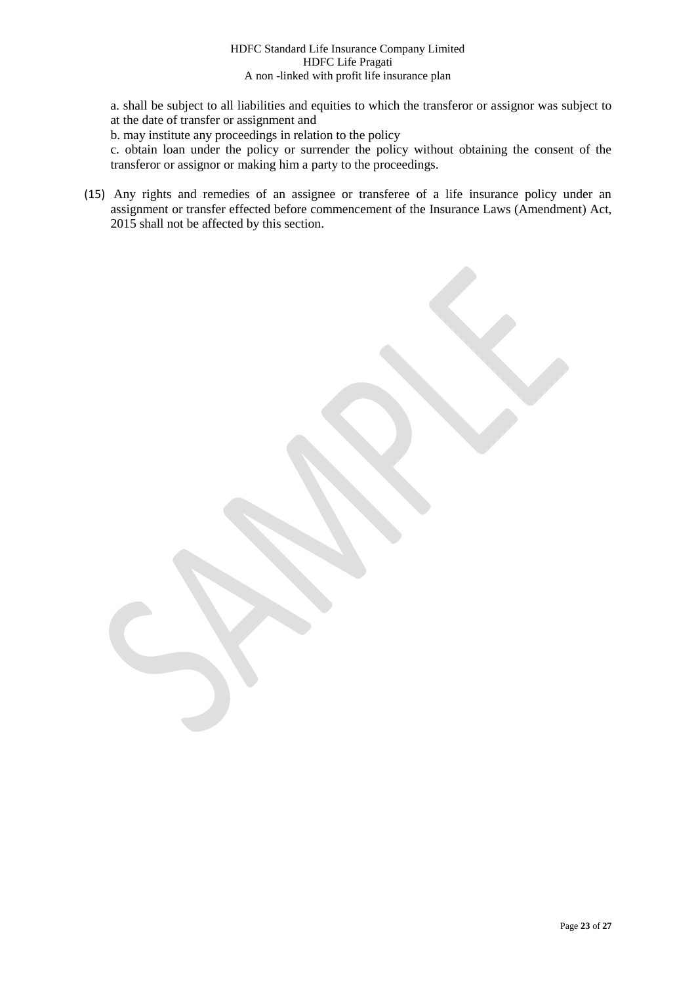a. shall be subject to all liabilities and equities to which the transferor or assignor was subject to at the date of transfer or assignment and

b. may institute any proceedings in relation to the policy

c. obtain loan under the policy or surrender the policy without obtaining the consent of the transferor or assignor or making him a party to the proceedings.

(15) Any rights and remedies of an assignee or transferee of a life insurance policy under an assignment or transfer effected before commencement of the Insurance Laws (Amendment) Act, 2015 shall not be affected by this section.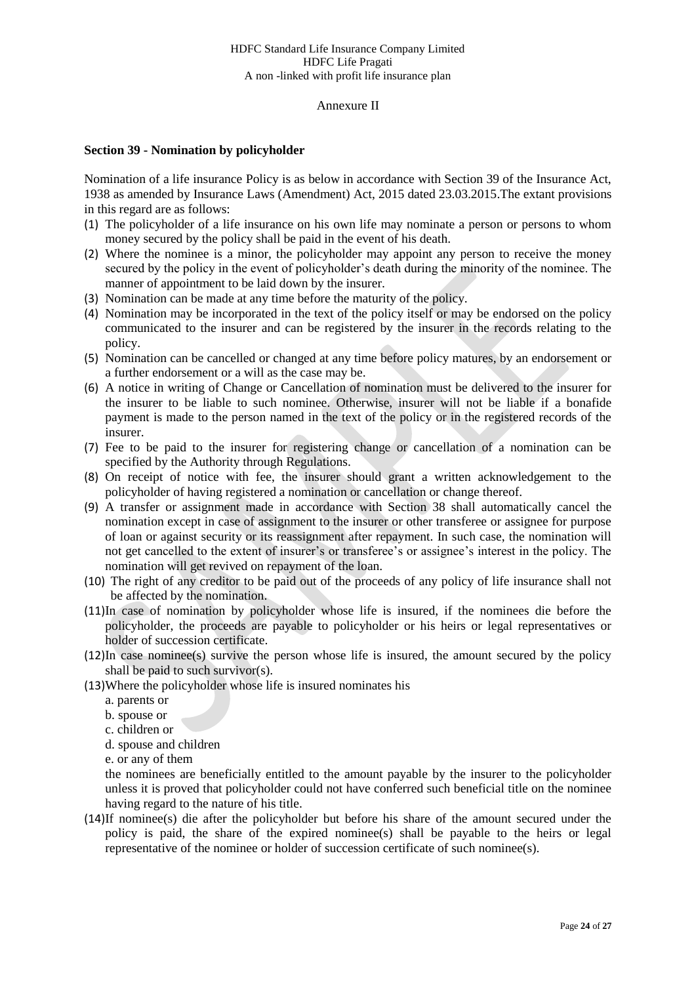#### Annexure II

### **Section 39 - Nomination by policyholder**

Nomination of a life insurance Policy is as below in accordance with Section 39 of the Insurance Act, 1938 as amended by Insurance Laws (Amendment) Act, 2015 dated 23.03.2015.The extant provisions in this regard are as follows:

- (1) The policyholder of a life insurance on his own life may nominate a person or persons to whom money secured by the policy shall be paid in the event of his death.
- (2) Where the nominee is a minor, the policyholder may appoint any person to receive the money secured by the policy in the event of policyholder's death during the minority of the nominee. The manner of appointment to be laid down by the insurer.
- (3) Nomination can be made at any time before the maturity of the policy.
- (4) Nomination may be incorporated in the text of the policy itself or may be endorsed on the policy communicated to the insurer and can be registered by the insurer in the records relating to the policy.
- (5) Nomination can be cancelled or changed at any time before policy matures, by an endorsement or a further endorsement or a will as the case may be.
- (6) A notice in writing of Change or Cancellation of nomination must be delivered to the insurer for the insurer to be liable to such nominee. Otherwise, insurer will not be liable if a bonafide payment is made to the person named in the text of the policy or in the registered records of the insurer.
- (7) Fee to be paid to the insurer for registering change or cancellation of a nomination can be specified by the Authority through Regulations.
- (8) On receipt of notice with fee, the insurer should grant a written acknowledgement to the policyholder of having registered a nomination or cancellation or change thereof.
- (9) A transfer or assignment made in accordance with Section 38 shall automatically cancel the nomination except in case of assignment to the insurer or other transferee or assignee for purpose of loan or against security or its reassignment after repayment. In such case, the nomination will not get cancelled to the extent of insurer's or transferee's or assignee's interest in the policy. The nomination will get revived on repayment of the loan.
- (10) The right of any creditor to be paid out of the proceeds of any policy of life insurance shall not be affected by the nomination.
- (11)In case of nomination by policyholder whose life is insured, if the nominees die before the policyholder, the proceeds are payable to policyholder or his heirs or legal representatives or holder of succession certificate.
- (12)In case nominee(s) survive the person whose life is insured, the amount secured by the policy shall be paid to such survivor(s).
- (13)Where the policyholder whose life is insured nominates his
	- a. parents or
	- b. spouse or
	- c. children or
	- d. spouse and children
	- e. or any of them

the nominees are beneficially entitled to the amount payable by the insurer to the policyholder unless it is proved that policyholder could not have conferred such beneficial title on the nominee having regard to the nature of his title.

(14)If nominee(s) die after the policyholder but before his share of the amount secured under the policy is paid, the share of the expired nominee(s) shall be payable to the heirs or legal representative of the nominee or holder of succession certificate of such nominee(s).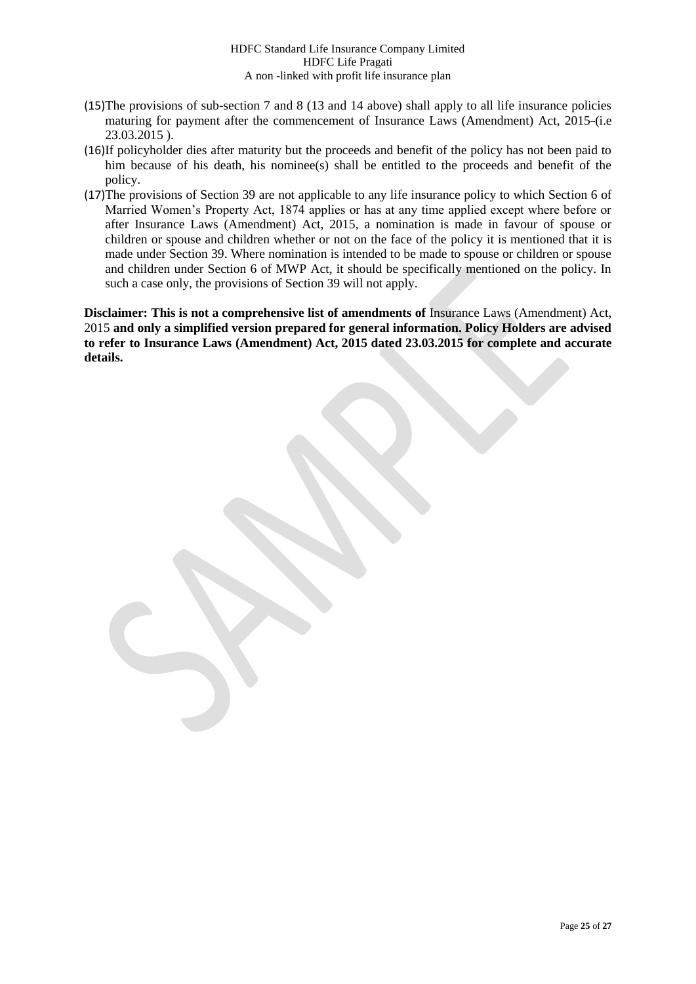- (15)The provisions of sub-section 7 and 8 (13 and 14 above) shall apply to all life insurance policies maturing for payment after the commencement of Insurance Laws (Amendment) Act, 2015 (i.e 23.03.2015 ).
- (16)If policyholder dies after maturity but the proceeds and benefit of the policy has not been paid to him because of his death, his nominee(s) shall be entitled to the proceeds and benefit of the policy.
- (17)The provisions of Section 39 are not applicable to any life insurance policy to which Section 6 of Married Women's Property Act, 1874 applies or has at any time applied except where before or after Insurance Laws (Amendment) Act, 2015, a nomination is made in favour of spouse or children or spouse and children whether or not on the face of the policy it is mentioned that it is made under Section 39. Where nomination is intended to be made to spouse or children or spouse and children under Section 6 of MWP Act, it should be specifically mentioned on the policy. In such a case only, the provisions of Section 39 will not apply.

**Disclaimer: This is not a comprehensive list of amendments of** Insurance Laws (Amendment) Act, 2015 **and only a simplified version prepared for general information. Policy Holders are advised to refer to Insurance Laws (Amendment) Act, 2015 dated 23.03.2015 for complete and accurate details.**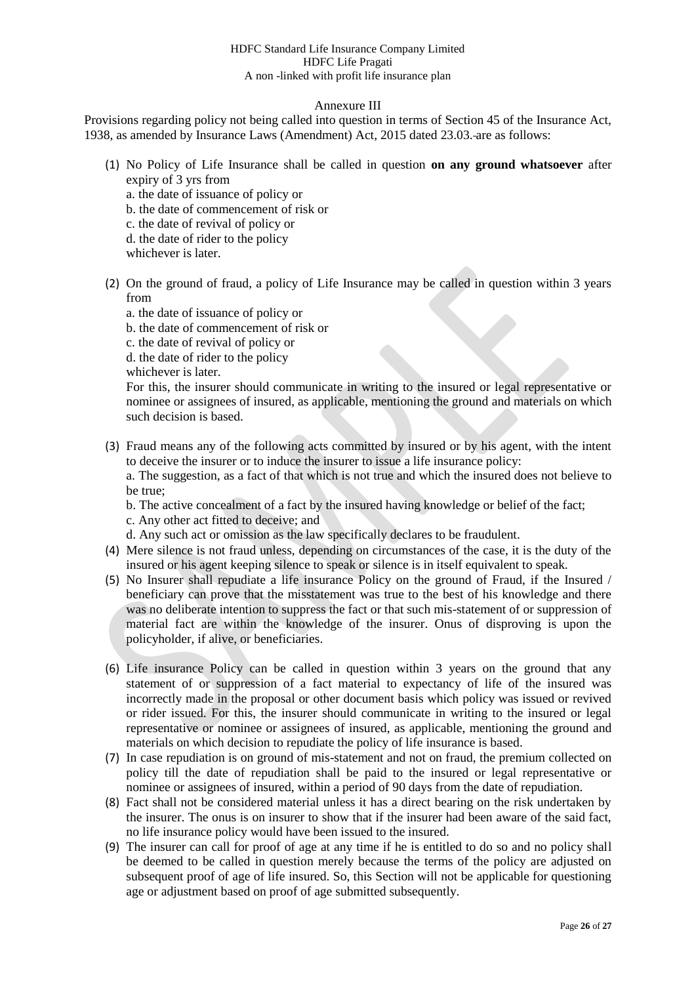# Annexure III

Provisions regarding policy not being called into question in terms of Section 45 of the Insurance Act, 1938, as amended by Insurance Laws (Amendment) Act, 2015 dated 23.03. are as follows:

- (1) No Policy of Life Insurance shall be called in question **on any ground whatsoever** after expiry of 3 yrs from
	- a. the date of issuance of policy or
	- b. the date of commencement of risk or
	- c. the date of revival of policy or
	- d. the date of rider to the policy
	- whichever is later
- (2) On the ground of fraud, a policy of Life Insurance may be called in question within 3 years from
	- a. the date of issuance of policy or
	- b. the date of commencement of risk or
	- c. the date of revival of policy or
	- d. the date of rider to the policy
	- whichever is later.

For this, the insurer should communicate in writing to the insured or legal representative or nominee or assignees of insured, as applicable, mentioning the ground and materials on which such decision is based.

(3) Fraud means any of the following acts committed by insured or by his agent, with the intent to deceive the insurer or to induce the insurer to issue a life insurance policy: a. The suggestion, as a fact of that which is not true and which the insured does not believe to

be true;

b. The active concealment of a fact by the insured having knowledge or belief of the fact; c. Any other act fitted to deceive; and

d. Any such act or omission as the law specifically declares to be fraudulent.

- (4) Mere silence is not fraud unless, depending on circumstances of the case, it is the duty of the insured or his agent keeping silence to speak or silence is in itself equivalent to speak.
- (5) No Insurer shall repudiate a life insurance Policy on the ground of Fraud, if the Insured / beneficiary can prove that the misstatement was true to the best of his knowledge and there was no deliberate intention to suppress the fact or that such mis-statement of or suppression of material fact are within the knowledge of the insurer. Onus of disproving is upon the policyholder, if alive, or beneficiaries.
- (6) Life insurance Policy can be called in question within 3 years on the ground that any statement of or suppression of a fact material to expectancy of life of the insured was incorrectly made in the proposal or other document basis which policy was issued or revived or rider issued. For this, the insurer should communicate in writing to the insured or legal representative or nominee or assignees of insured, as applicable, mentioning the ground and materials on which decision to repudiate the policy of life insurance is based.
- (7) In case repudiation is on ground of mis-statement and not on fraud, the premium collected on policy till the date of repudiation shall be paid to the insured or legal representative or nominee or assignees of insured, within a period of 90 days from the date of repudiation.
- (8) Fact shall not be considered material unless it has a direct bearing on the risk undertaken by the insurer. The onus is on insurer to show that if the insurer had been aware of the said fact, no life insurance policy would have been issued to the insured.
- (9) The insurer can call for proof of age at any time if he is entitled to do so and no policy shall be deemed to be called in question merely because the terms of the policy are adjusted on subsequent proof of age of life insured. So, this Section will not be applicable for questioning age or adjustment based on proof of age submitted subsequently.